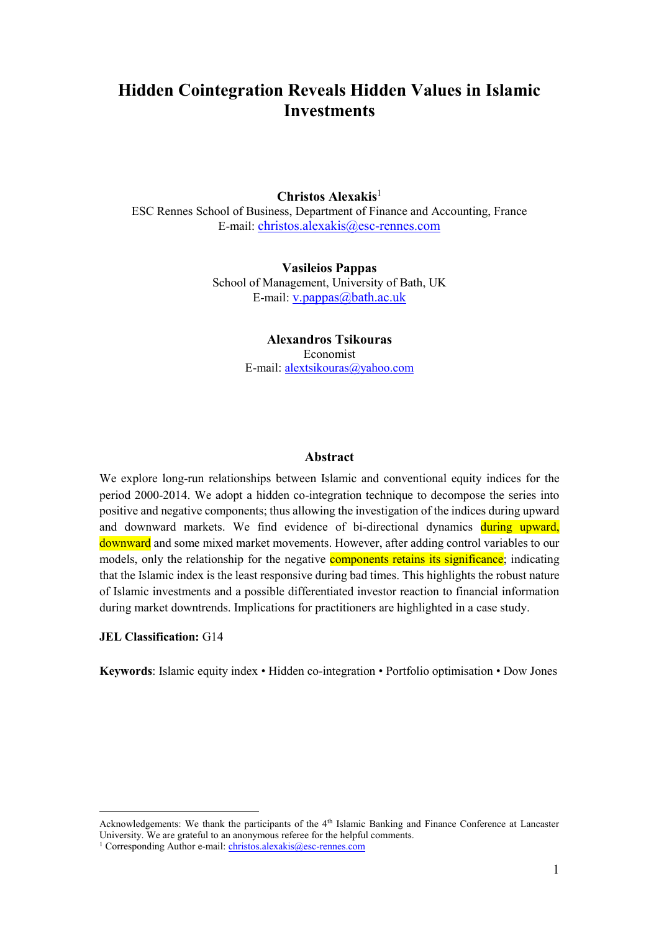# **Hidden Cointegration Reveals Hidden Values in Islamic Investments**

### **Christos Alexakis**<sup>1</sup>

ESC Rennes School of Business, Department of Finance and Accounting, France E-mail: [christos.alexakis@esc-rennes.com](mailto:christos.alexakis@esc-rennes.com)

> **Vasileios Pappas** School of Management, University of Bath, UK E-mail: [v.pappas@bath.ac.uk](mailto:v.pappas@bath.ac.uk)

> > **Alexandros Tsikouras** Economist E-mail: [alextsikouras@yahoo.com](mailto:alextsikouras@yahoo.com)

#### **Abstract**

We explore long-run relationships between Islamic and conventional equity indices for the period 2000-2014. We adopt a hidden co-integration technique to decompose the series into positive and negative components; thus allowing the investigation of the indices during upward and downward markets. We find evidence of bi-directional dynamics during upward, downward and some mixed market movements. However, after adding control variables to our models, only the relationship for the negative components retains its significance; indicating that the Islamic index is the least responsive during bad times. This highlights the robust nature of Islamic investments and a possible differentiated investor reaction to financial information during market downtrends. Implications for practitioners are highlighted in a case study.

#### **JEL Classification:** G14

 $\overline{a}$ 

**Keywords**: Islamic equity index • Hidden co-integration • Portfolio optimisation • Dow Jones

Acknowledgements: We thank the participants of the 4<sup>th</sup> Islamic Banking and Finance Conference at Lancaster University. We are grateful to an anonymous referee for the helpful comments.

<sup>&</sup>lt;sup>1</sup> Corresponding Author e-mail: *christos.alexakis@esc-rennes.com*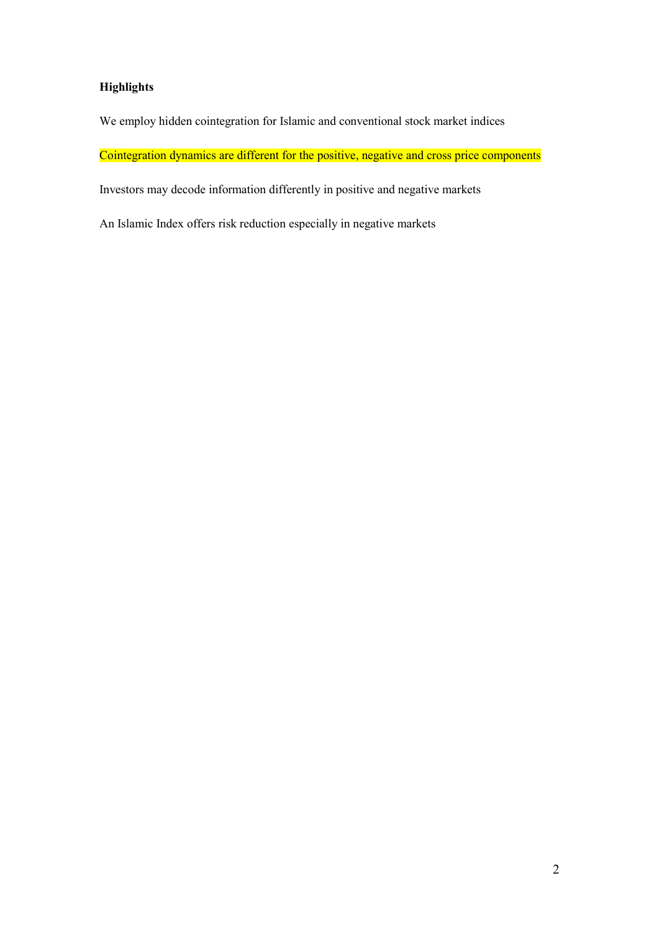# **Highlights**

We employ hidden cointegration for Islamic and conventional stock market indices

Cointegration dynamics are different for the positive, negative and cross price components

Investors may decode information differently in positive and negative markets

An Islamic Index offers risk reduction especially in negative markets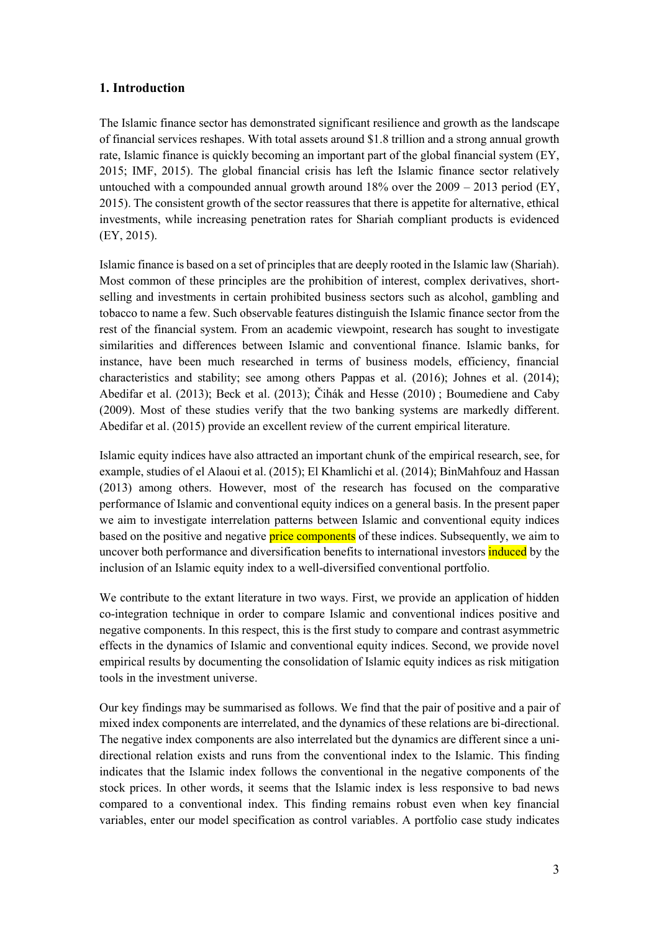### **1. Introduction**

The Islamic finance sector has demonstrated significant resilience and growth as the landscape of financial services reshapes. With total assets around \$1.8 trillion and a strong annual growth rate, Islamic finance is quickly becoming an important part of the global financial system (EY, 2015; IMF, 2015). The global financial crisis has left the Islamic finance sector relatively untouched with a compounded annual growth around 18% over the 2009 – 2013 period (EY, 2015). The consistent growth of the sector reassures that there is appetite for alternative, ethical investments, while increasing penetration rates for Shariah compliant products is evidenced (EY, 2015).

Islamic finance is based on a set of principles that are deeply rooted in the Islamic law (Shariah). Most common of these principles are the prohibition of interest, complex derivatives, shortselling and investments in certain prohibited business sectors such as alcohol, gambling and tobacco to name a few. Such observable features distinguish the Islamic finance sector from the rest of the financial system. From an academic viewpoint, research has sought to investigate similarities and differences between Islamic and conventional finance. Islamic banks, for instance, have been much researched in terms of business models, efficiency, financial characteristics and stability; see among others Pappas et al. (2016); Johnes et al. (2014); Abedifar et al. (2013); Beck et al. (2013); Čihák and Hesse (2010) ; Boumediene and Caby (2009). Most of these studies verify that the two banking systems are markedly different. Abedifar et al. (2015) provide an excellent review of the current empirical literature.

Islamic equity indices have also attracted an important chunk of the empirical research, see, for example, studies of el Alaoui et al. (2015); El Khamlichi et al. (2014); BinMahfouz and Hassan (2013) among others. However, most of the research has focused on the comparative performance of Islamic and conventional equity indices on a general basis. In the present paper we aim to investigate interrelation patterns between Islamic and conventional equity indices based on the positive and negative **price components** of these indices. Subsequently, we aim to uncover both performance and diversification benefits to international investors **induced** by the inclusion of an Islamic equity index to a well-diversified conventional portfolio.

We contribute to the extant literature in two ways. First, we provide an application of hidden co-integration technique in order to compare Islamic and conventional indices positive and negative components. In this respect, this is the first study to compare and contrast asymmetric effects in the dynamics of Islamic and conventional equity indices. Second, we provide novel empirical results by documenting the consolidation of Islamic equity indices as risk mitigation tools in the investment universe.

Our key findings may be summarised as follows. We find that the pair of positive and a pair of mixed index components are interrelated, and the dynamics of these relations are bi-directional. The negative index components are also interrelated but the dynamics are different since a unidirectional relation exists and runs from the conventional index to the Islamic. This finding indicates that the Islamic index follows the conventional in the negative components of the stock prices. In other words, it seems that the Islamic index is less responsive to bad news compared to a conventional index. This finding remains robust even when key financial variables, enter our model specification as control variables. A portfolio case study indicates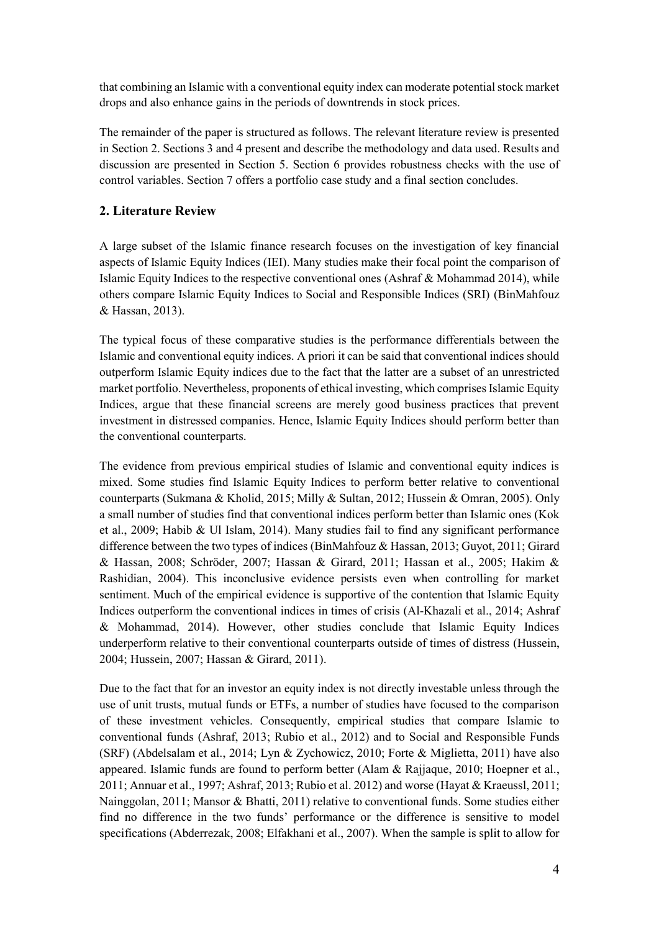that combining an Islamic with a conventional equity index can moderate potential stock market drops and also enhance gains in the periods of downtrends in stock prices.

The remainder of the paper is structured as follows. The relevant literature review is presented in Section 2. Sections 3 and 4 present and describe the methodology and data used. Results and discussion are presented in Section 5. Section 6 provides robustness checks with the use of control variables. Section 7 offers a portfolio case study and a final section concludes.

# **2. Literature Review**

A large subset of the Islamic finance research focuses on the investigation of key financial aspects of Islamic Equity Indices (IEI). Many studies make their focal point the comparison of Islamic Equity Indices to the respective conventional ones (Ashraf & Mohammad 2014), while others compare Islamic Equity Indices to Social and Responsible Indices (SRI) (BinMahfouz & Hassan, 2013).

The typical focus of these comparative studies is the performance differentials between the Islamic and conventional equity indices. A priori it can be said that conventional indices should outperform Islamic Equity indices due to the fact that the latter are a subset of an unrestricted market portfolio. Nevertheless, proponents of ethical investing, which comprises Islamic Equity Indices, argue that these financial screens are merely good business practices that prevent investment in distressed companies. Hence, Islamic Equity Indices should perform better than the conventional counterparts.

The evidence from previous empirical studies of Islamic and conventional equity indices is mixed. Some studies find Islamic Equity Indices to perform better relative to conventional counterparts (Sukmana & Kholid, 2015; Milly & Sultan, 2012; Hussein & Omran, 2005). Only a small number of studies find that conventional indices perform better than Islamic ones (Kok et al., 2009; Habib & Ul Islam, 2014). Many studies fail to find any significant performance difference between the two types of indices (BinMahfouz & Hassan, 2013; Guyot, 2011; Girard & Hassan, 2008; Schröder, 2007; Hassan & Girard, 2011; Hassan et al., 2005; Hakim & Rashidian, 2004). This inconclusive evidence persists even when controlling for market sentiment. Much of the empirical evidence is supportive of the contention that Islamic Equity Indices outperform the conventional indices in times of crisis (Al-Khazali et al., 2014; Ashraf & Mohammad, 2014). However, other studies conclude that Islamic Equity Indices underperform relative to their conventional counterparts outside of times of distress (Hussein, 2004; Hussein, 2007; Hassan & Girard, 2011).

Due to the fact that for an investor an equity index is not directly investable unless through the use of unit trusts, mutual funds or ETFs, a number of studies have focused to the comparison of these investment vehicles. Consequently, empirical studies that compare Islamic to conventional funds (Ashraf, 2013; Rubio et al., 2012) and to Social and Responsible Funds (SRF) (Abdelsalam et al., 2014; Lyn & Zychowicz, 2010; Forte & Miglietta, 2011) have also appeared. Islamic funds are found to perform better (Alam & Rajjaque, 2010; Hoepner et al., 2011; Annuar et al., 1997; Ashraf, 2013; Rubio et al. 2012) and worse (Hayat & Kraeussl, 2011; Nainggolan, 2011; Mansor & Bhatti, 2011) relative to conventional funds. Some studies either find no difference in the two funds' performance or the difference is sensitive to model specifications (Abderrezak, 2008; Elfakhani et al., 2007). When the sample is split to allow for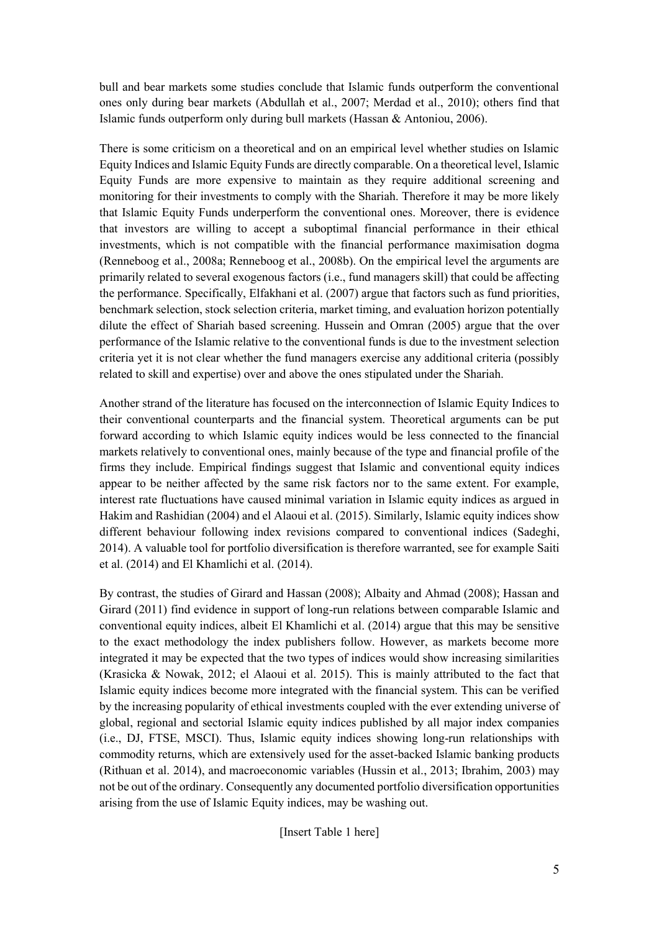bull and bear markets some studies conclude that Islamic funds outperform the conventional ones only during bear markets (Abdullah et al., 2007; Merdad et al., 2010); others find that Islamic funds outperform only during bull markets (Hassan & Antoniou, 2006).

There is some criticism on a theoretical and on an empirical level whether studies on Islamic Equity Indices and Islamic Equity Funds are directly comparable. On a theoretical level, Islamic Equity Funds are more expensive to maintain as they require additional screening and monitoring for their investments to comply with the Shariah. Therefore it may be more likely that Islamic Equity Funds underperform the conventional ones. Moreover, there is evidence that investors are willing to accept a suboptimal financial performance in their ethical investments, which is not compatible with the financial performance maximisation dogma (Renneboog et al., 2008a; Renneboog et al., 2008b). On the empirical level the arguments are primarily related to several exogenous factors (i.e., fund managers skill) that could be affecting the performance. Specifically, Elfakhani et al. (2007) argue that factors such as fund priorities, benchmark selection, stock selection criteria, market timing, and evaluation horizon potentially dilute the effect of Shariah based screening. Hussein and Omran (2005) argue that the over performance of the Islamic relative to the conventional funds is due to the investment selection criteria yet it is not clear whether the fund managers exercise any additional criteria (possibly related to skill and expertise) over and above the ones stipulated under the Shariah.

Another strand of the literature has focused on the interconnection of Islamic Equity Indices to their conventional counterparts and the financial system. Theoretical arguments can be put forward according to which Islamic equity indices would be less connected to the financial markets relatively to conventional ones, mainly because of the type and financial profile of the firms they include. Empirical findings suggest that Islamic and conventional equity indices appear to be neither affected by the same risk factors nor to the same extent. For example, interest rate fluctuations have caused minimal variation in Islamic equity indices as argued in Hakim and Rashidian (2004) and el Alaoui et al. (2015). Similarly, Islamic equity indices show different behaviour following index revisions compared to conventional indices (Sadeghi, 2014). A valuable tool for portfolio diversification is therefore warranted, see for example Saiti et al. (2014) and El Khamlichi et al. (2014).

By contrast, the studies of Girard and Hassan (2008); Albaity and Ahmad (2008); Hassan and Girard (2011) find evidence in support of long-run relations between comparable Islamic and conventional equity indices, albeit El Khamlichi et al. (2014) argue that this may be sensitive to the exact methodology the index publishers follow. However, as markets become more integrated it may be expected that the two types of indices would show increasing similarities (Krasicka & Nowak, 2012; el Alaoui et al. 2015). This is mainly attributed to the fact that Islamic equity indices become more integrated with the financial system. This can be verified by the increasing popularity of ethical investments coupled with the ever extending universe of global, regional and sectorial Islamic equity indices published by all major index companies (i.e., DJ, FTSE, MSCI). Thus, Islamic equity indices showing long-run relationships with commodity returns, which are extensively used for the asset-backed Islamic banking products (Rithuan et al. 2014), and macroeconomic variables (Hussin et al., 2013; Ibrahim, 2003) may not be out of the ordinary. Consequently any documented portfolio diversification opportunities arising from the use of Islamic Equity indices, may be washing out.

[Insert Table 1 here]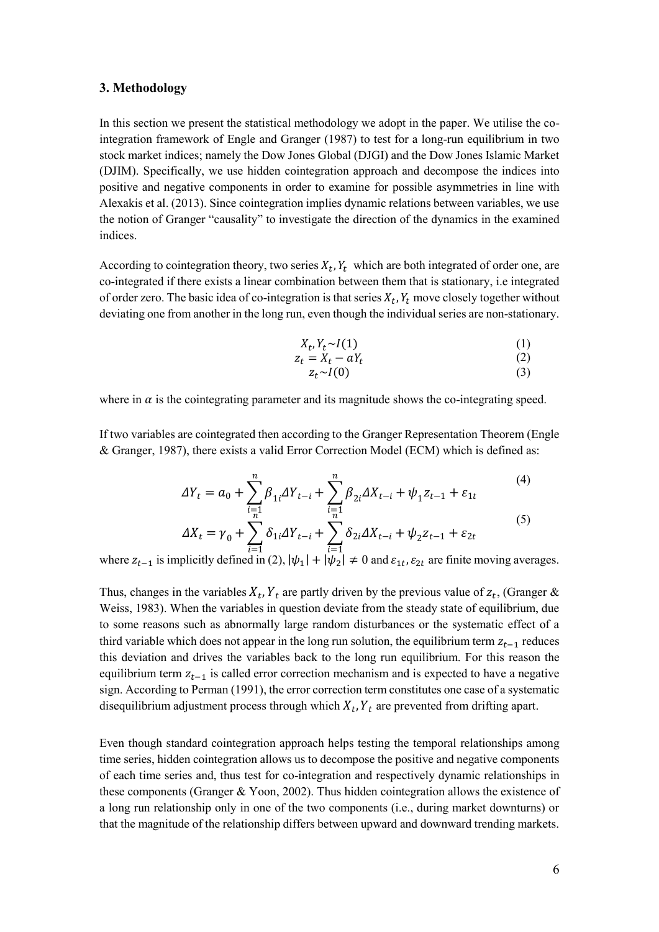#### **3. Methodology**

In this section we present the statistical methodology we adopt in the paper. We utilise the cointegration framework of Engle and Granger (1987) to test for a long-run equilibrium in two stock market indices; namely the Dow Jones Global (DJGI) and the Dow Jones Islamic Market (DJIM). Specifically, we use hidden cointegration approach and decompose the indices into positive and negative components in order to examine for possible asymmetries in line with Alexakis et al. (2013). Since cointegration implies dynamic relations between variables, we use the notion of Granger "causality" to investigate the direction of the dynamics in the examined indices.

According to cointegration theory, two series  $X_t$ ,  $Y_t$  which are both integrated of order one, are co-integrated if there exists a linear combination between them that is stationary, i.e integrated of order zero. The basic idea of co-integration is that series  $X_t$ ,  $Y_t$  move closely together without deviating one from another in the long run, even though the individual series are non-stationary.

$$
X_t, Y_t \sim I(1) \tag{1}
$$

$$
z_t = X_t - aY_t \tag{2}
$$

$$
z_t \sim I(0) \tag{3}
$$

where in  $\alpha$  is the cointegrating parameter and its magnitude shows the co-integrating speed.

If two variables are cointegrated then according to the Granger Representation Theorem (Engle & Granger, 1987), there exists a valid Error Correction Model (ECM) which is defined as:

$$
\Delta Y_t = a_0 + \sum_{i=1}^n \beta_{1i} \Delta Y_{t-i} + \sum_{i=1}^n \beta_{2i} \Delta X_{t-i} + \psi_1 Z_{t-1} + \varepsilon_{1t}
$$
\n(4)

$$
\Delta X_t = \gamma_0 + \sum_{i=1}^n \delta_{1i} \Delta Y_{t-i} + \sum_{i=1}^n \delta_{2i} \Delta X_{t-i} + \psi_2 Z_{t-1} + \varepsilon_{2t}
$$
\n(5)

\nplicity defined in (2),  $|y_1| + |y_2| + 0$  and  $\varepsilon$ ,  $\varepsilon$ , are finite moving, we

where  $z_{t-1}$  is implicitly defined in (2),  $|\psi_1| + |\psi_2| \neq 0$  and  $\varepsilon_{1t}$ ,  $\varepsilon_{2t}$  are finite moving averages.

Thus, changes in the variables  $X_t$ ,  $Y_t$  are partly driven by the previous value of  $z_t$ , (Granger & Weiss, 1983). When the variables in question deviate from the steady state of equilibrium, due to some reasons such as abnormally large random disturbances or the systematic effect of a third variable which does not appear in the long run solution, the equilibrium term  $z_{t-1}$  reduces this deviation and drives the variables back to the long run equilibrium. For this reason the equilibrium term  $z_{t-1}$  is called error correction mechanism and is expected to have a negative sign. According to Perman (1991), the error correction term constitutes one case of a systematic disequilibrium adjustment process through which  $X_t$ ,  $Y_t$  are prevented from drifting apart.

Even though standard cointegration approach helps testing the temporal relationships among time series, hidden cointegration allows us to decompose the positive and negative components of each time series and, thus test for co-integration and respectively dynamic relationships in these components (Granger & Yoon, 2002). Thus hidden cointegration allows the existence of a long run relationship only in one of the two components (i.e., during market downturns) or that the magnitude of the relationship differs between upward and downward trending markets.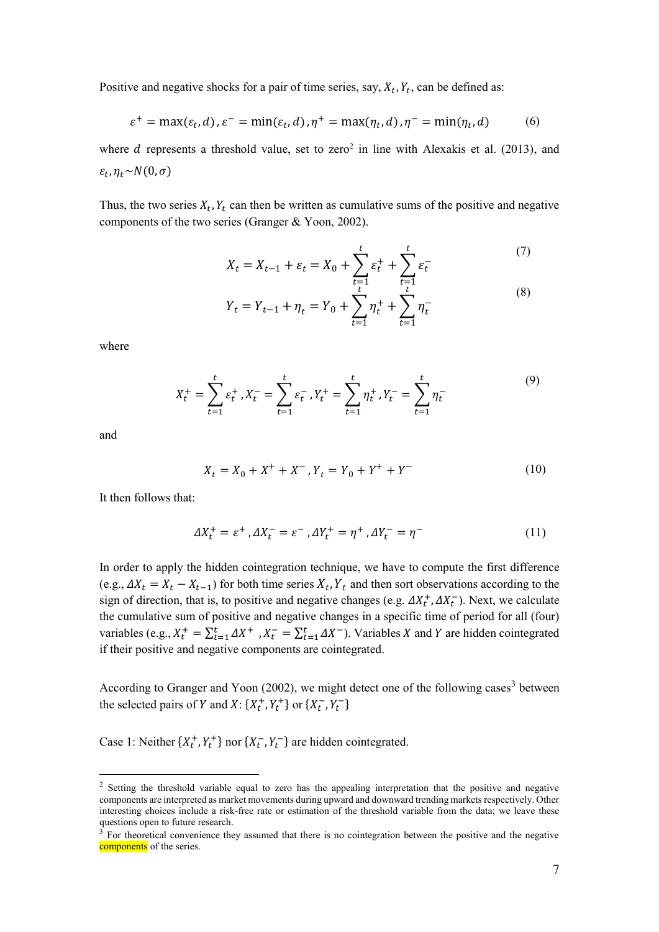Positive and negative shocks for a pair of time series, say,  $X_t$ ,  $Y_t$ , can be defined as:

$$
\varepsilon^{+} = \max(\varepsilon_{t}, d), \varepsilon^{-} = \min(\varepsilon_{t}, d), \eta^{+} = \max(\eta_{t}, d), \eta^{-} = \min(\eta_{t}, d) \tag{6}
$$

where d represents a threshold value, set to zero<sup>2</sup> in line with Alexakis et al. (2013), and  $\varepsilon_t$ ,  $\eta_t$  ~  $N(0, \sigma)$ 

Thus, the two series  $X_t$ ,  $Y_t$  can then be written as cumulative sums of the positive and negative components of the two series (Granger & Yoon, 2002).

$$
X_t = X_{t-1} + \varepsilon_t = X_0 + \sum_{t=1}^t \varepsilon_t^+ + \sum_{t=1}^t \varepsilon_t^- \tag{7}
$$

$$
Y_t = Y_{t-1} + \eta_t = Y_0 + \sum_{t=1}^{t-1} \eta_t^+ + \sum_{t=1}^{t-1} \eta_t^- \tag{8}
$$

where

$$
X_t^+ = \sum_{t=1}^t \varepsilon_t^+, X_t^- = \sum_{t=1}^t \varepsilon_t^-, Y_t^+ = \sum_{t=1}^t \eta_t^+, Y_t^- = \sum_{t=1}^t \eta_t^- \tag{9}
$$

and

$$
X_t = X_0 + X^+ + X^-, Y_t = Y_0 + Y^+ + Y^- \tag{10}
$$

It then follows that:

$$
\Delta X_t^+ = \varepsilon^+ \,, \Delta X_t^- = \varepsilon^- \,, \Delta Y_t^+ = \eta^+ \,, \Delta Y_t^- = \eta^- \tag{11}
$$

In order to apply the hidden cointegration technique, we have to compute the first difference (e.g.,  $\Delta X_t = X_t - X_{t-1}$ ) for both time series  $X_t$ ,  $Y_t$  and then sort observations according to the sign of direction, that is, to positive and negative changes (e.g.  $\Delta X_t^+$ ,  $\Delta X_t^-$ ). Next, we calculate the cumulative sum of positive and negative changes in a specific time of period for all (four) variables (e.g.,  $X_t^+ = \sum_{t=1}^t \Delta X^+$ ,  $X_t^- = \sum_{t=1}^t \Delta X^-$ ). Variables X and Y are hidden cointegrated if their positive and negative components are cointegrated.

According to Granger and Yoon (2002), we might detect one of the following cases<sup>3</sup> between the selected pairs of Y and X:  $\{X_t^+, Y_t^+\}$  or  $\{X_t^-, Y_t^-\}$ 

Case 1: Neither  $\{X_t^+, Y_t^+\}$  nor  $\{X_t^-, Y_t^-\}$  are hidden cointegrated.

<sup>&</sup>lt;sup>2</sup> Setting the threshold variable equal to zero has the appealing interpretation that the positive and negative components are interpreted as market movements during upward and downward trending markets respectively. Other interesting choices include a risk-free rate or estimation of the threshold variable from the data; we leave these questions open to future research.

<sup>&</sup>lt;sup>3</sup> For theoretical convenience they assumed that there is no cointegration between the positive and the negative components of the series.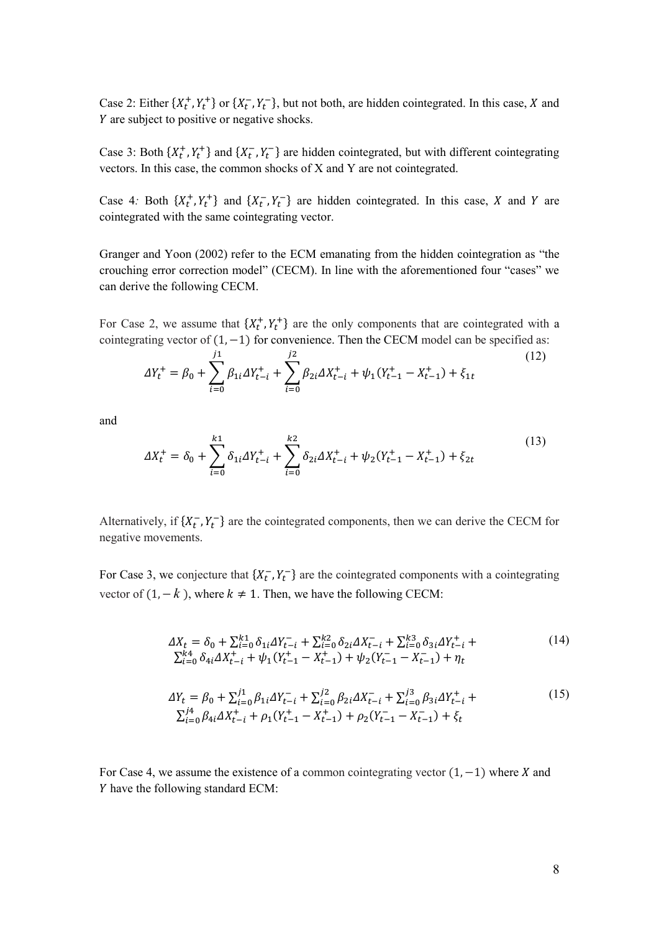Case 2: Either  $\{X_t^+, Y_t^+\}$  or  $\{X_t^-, Y_t^-\}$ , but not both, are hidden cointegrated. In this case, X and Y are subject to positive or negative shocks.

Case 3: Both  $\{X_t^+, Y_t^+\}$  and  $\{X_t^-, Y_t^-\}$  are hidden cointegrated, but with different cointegrating vectors. In this case, the common shocks of X and Y are not cointegrated.

Case 4: Both  $\{X_t^+, Y_t^+\}$  and  $\{X_t^-, Y_t^-\}$  are hidden cointegrated. In this case, X and Y are cointegrated with the same cointegrating vector.

Granger and Yoon (2002) refer to the ECM emanating from the hidden cointegration as "the crouching error correction model" (CECM). In line with the aforementioned four "cases" we can derive the following CECM.

For Case 2, we assume that  $\{X_t^+, Y_t^+\}$  are the only components that are cointegrated with a cointegrating vector of  $(1, -1)$  for convenience. Then the CECM model can be specified as:

$$
\Delta Y_t^+ = \beta_0 + \sum_{i=0}^{j_1} \beta_{1i} \Delta Y_{t-i}^+ + \sum_{i=0}^{j_2} \beta_{2i} \Delta X_{t-i}^+ + \psi_1 (Y_{t-1}^+ - X_{t-1}^+) + \xi_{1t}
$$
(12)

and

$$
\Delta X_t^+ = \delta_0 + \sum_{i=0}^{k_1} \delta_{1i} \Delta Y_{t-i}^+ + \sum_{i=0}^{k_2} \delta_{2i} \Delta X_{t-i}^+ + \psi_2 (Y_{t-1}^+ - X_{t-1}^+) + \xi_{2t}
$$
\n
$$
\tag{13}
$$

Alternatively, if  $\{X_t^-, Y_t^-\}$  are the cointegrated components, then we can derive the CECM for negative movements.

For Case 3, we conjecture that  $\{X_t^-, Y_t^-\}$  are the cointegrated components with a cointegrating vector of  $(1, -k)$ , where  $k \neq 1$ . Then, we have the following CECM:

$$
\Delta X_t = \delta_0 + \sum_{i=0}^{k} \delta_{1i} \Delta Y_{t-i} + \sum_{i=0}^{k} \delta_{2i} \Delta X_{t-i} - \sum_{i=0}^{k} \delta_{3i} \Delta Y_{t-i} + \sum_{i=0}^{k} \delta_{4i} \Delta X_{t-i} + \psi_1 (Y_{t-1} - X_{t-1} + \psi_2 (Y_{t-1} - X_{t-1} - Y_t + \eta_t))
$$
\n
$$
(14)
$$

$$
\Delta Y_t = \beta_0 + \sum_{i=0}^{j_1} \beta_{1i} \Delta Y_{t-i} + \sum_{i=0}^{j_2} \beta_{2i} \Delta X_{t-i} - \sum_{i=0}^{j_3} \beta_{3i} \Delta Y_{t-i} + \sum_{i=0}^{j_4} \beta_{4i} \Delta X_{t-i} + \rho_1 (Y_{t-1}^+ - X_{t-1}^+) + \rho_2 (Y_{t-1}^- - X_{t-1}^-) + \xi_t
$$
\n(15)

For Case 4, we assume the existence of a common cointegrating vector  $(1, -1)$  where X and Y have the following standard ECM: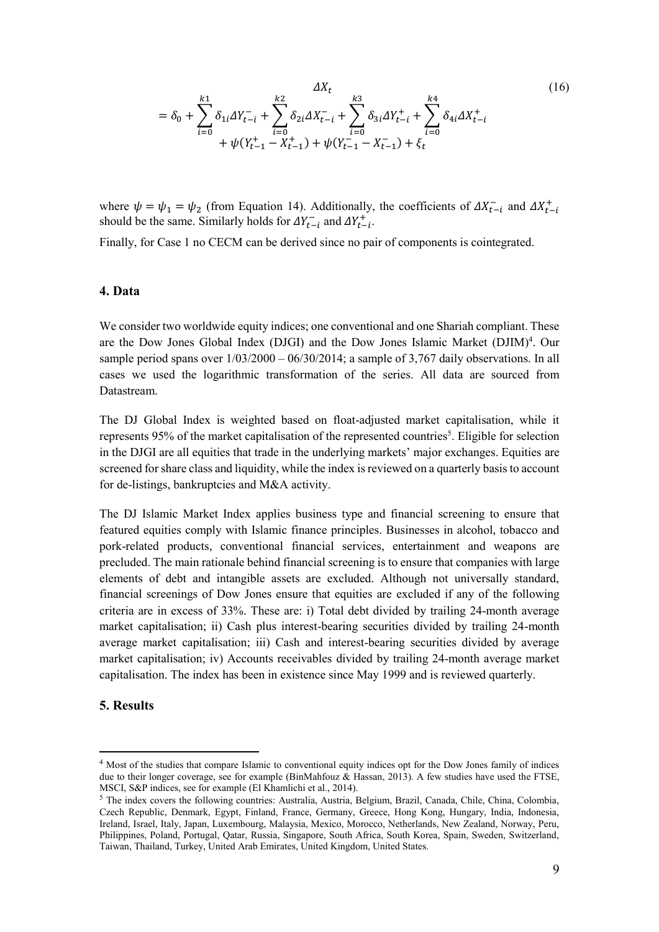$$
dX_t
$$
\n
$$
= \delta_0 + \sum_{i=0}^{k1} \delta_{1i} \Delta Y_{t-i} + \sum_{i=0}^{k2} \delta_{2i} \Delta X_{t-i} + \sum_{i=0}^{k3} \delta_{3i} \Delta Y_{t-i}^+ + \sum_{i=0}^{k4} \delta_{4i} \Delta X_{t-i}^+ + \psi(Y_{t-1}^+ - X_{t-1}^+) + \psi(Y_{t-1}^- - X_{t-1}^-) + \xi_t
$$
\n(16)

where  $\psi = \psi_1 = \psi_2$  (from Equation 14). Additionally, the coefficients of  $\Delta X_{t-i}^-$  and  $\Delta X_{t-i}^+$ should be the same. Similarly holds for  $\Delta Y_{t-i}^-$  and  $\Delta Y_{t-i}^+$ .

Finally, for Case 1 no CECM can be derived since no pair of components is cointegrated.

#### **4. Data**

We consider two worldwide equity indices; one conventional and one Shariah compliant. These are the Dow Jones Global Index (DJGI) and the Dow Jones Islamic Market (DJIM)<sup>4</sup>. Our sample period spans over 1/03/2000 – 06/30/2014; a sample of 3,767 daily observations. In all cases we used the logarithmic transformation of the series. All data are sourced from Datastream.

The DJ Global Index is weighted based on float-adjusted market capitalisation, while it represents 95% of the market capitalisation of the represented countries<sup>5</sup>. Eligible for selection in the DJGI are all equities that trade in the underlying markets' major exchanges. Equities are screened for share class and liquidity, while the index is reviewed on a quarterly basis to account for de-listings, bankruptcies and M&A activity.

The DJ Islamic Market Index applies business type and financial screening to ensure that featured equities comply with Islamic finance principles. Businesses in alcohol, tobacco and pork-related products, conventional financial services, entertainment and weapons are precluded. The main rationale behind financial screening is to ensure that companies with large elements of debt and intangible assets are excluded. Although not universally standard, financial screenings of Dow Jones ensure that equities are excluded if any of the following criteria are in excess of 33%. These are: i) Total debt divided by trailing 24-month average market capitalisation; ii) Cash plus interest-bearing securities divided by trailing 24-month average market capitalisation; iii) Cash and interest-bearing securities divided by average market capitalisation; iv) Accounts receivables divided by trailing 24-month average market capitalisation. The index has been in existence since May 1999 and is reviewed quarterly.

#### **5. Results**

 $\overline{a}$ 

<sup>4</sup> Most of the studies that compare Islamic to conventional equity indices opt for the Dow Jones family of indices due to their longer coverage, see for example (BinMahfouz & Hassan, 2013). A few studies have used the FTSE, MSCI, S&P indices, see for example (El Khamlichi et al., 2014).

<sup>5</sup> The index covers the following countries: Australia, Austria, Belgium, Brazil, Canada, Chile, China, Colombia, Czech Republic, Denmark, Egypt, Finland, France, Germany, Greece, Hong Kong, Hungary, India, Indonesia, Ireland, Israel, Italy, Japan, Luxembourg, Malaysia, Mexico, Morocco, Netherlands, New Zealand, Norway, Peru, Philippines, Poland, Portugal, Qatar, Russia, Singapore, South Africa, South Korea, Spain, Sweden, Switzerland, Taiwan, Thailand, Turkey, United Arab Emirates, United Kingdom, United States.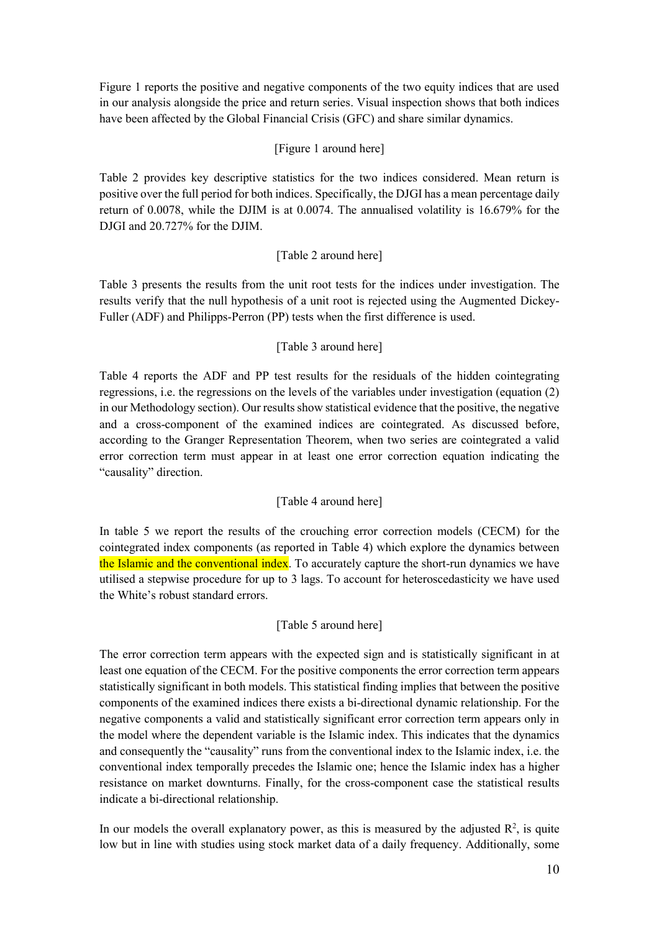Figure 1 reports the positive and negative components of the two equity indices that are used in our analysis alongside the price and return series. Visual inspection shows that both indices have been affected by the Global Financial Crisis (GFC) and share similar dynamics.

### [Figure 1 around here]

Table 2 provides key descriptive statistics for the two indices considered. Mean return is positive over the full period for both indices. Specifically, the DJGI has a mean percentage daily return of 0.0078, while the DJIM is at 0.0074. The annualised volatility is 16.679% for the DJGI and 20.727% for the DJIM.

### [Table 2 around here]

Table 3 presents the results from the unit root tests for the indices under investigation. The results verify that the null hypothesis of a unit root is rejected using the Augmented Dickey-Fuller (ADF) and Philipps-Perron (PP) tests when the first difference is used.

### [Table 3 around here]

Table 4 reports the ADF and PP test results for the residuals of the hidden cointegrating regressions, i.e. the regressions on the levels of the variables under investigation (equation (2) in our Methodology section). Our results show statistical evidence that the positive, the negative and a cross-component of the examined indices are cointegrated. As discussed before, according to the Granger Representation Theorem, when two series are cointegrated a valid error correction term must appear in at least one error correction equation indicating the "causality" direction.

### [Table 4 around here]

In table 5 we report the results of the crouching error correction models (CECM) for the cointegrated index components (as reported in Table 4) which explore the dynamics between the Islamic and the conventional index. To accurately capture the short-run dynamics we have utilised a stepwise procedure for up to 3 lags. To account for heteroscedasticity we have used the White's robust standard errors.

### [Table 5 around here]

The error correction term appears with the expected sign and is statistically significant in at least one equation of the CECM. For the positive components the error correction term appears statistically significant in both models. This statistical finding implies that between the positive components of the examined indices there exists a bi-directional dynamic relationship. For the negative components a valid and statistically significant error correction term appears only in the model where the dependent variable is the Islamic index. This indicates that the dynamics and consequently the "causality" runs from the conventional index to the Islamic index, i.e. the conventional index temporally precedes the Islamic one; hence the Islamic index has a higher resistance on market downturns. Finally, for the cross-component case the statistical results indicate a bi-directional relationship.

In our models the overall explanatory power, as this is measured by the adjusted  $\mathbb{R}^2$ , is quite low but in line with studies using stock market data of a daily frequency. Additionally, some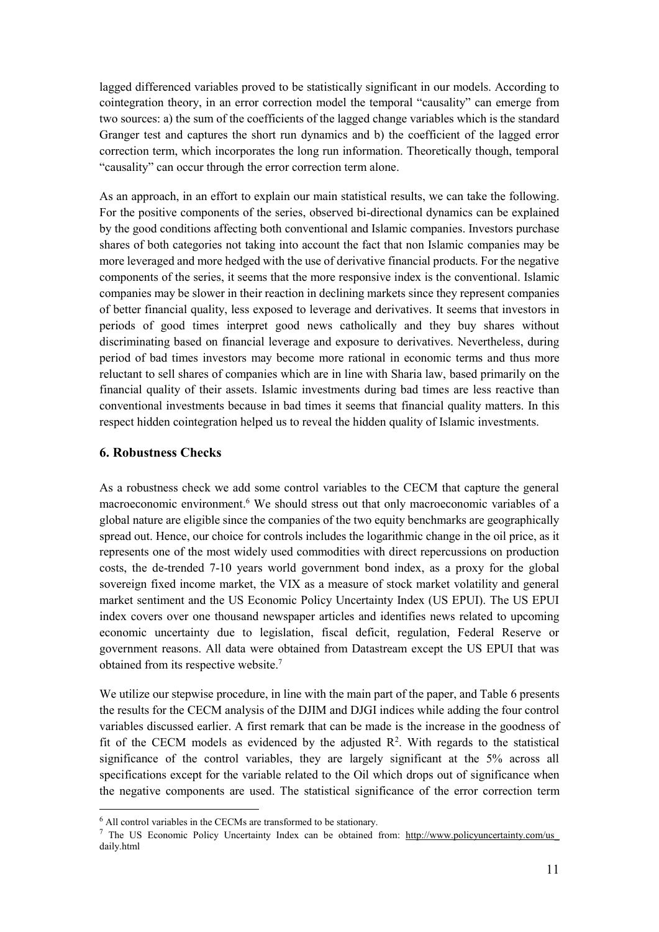lagged differenced variables proved to be statistically significant in our models. According to cointegration theory, in an error correction model the temporal "causality" can emerge from two sources: a) the sum of the coefficients of the lagged change variables which is the standard Granger test and captures the short run dynamics and b) the coefficient of the lagged error correction term, which incorporates the long run information. Theoretically though, temporal "causality" can occur through the error correction term alone.

As an approach, in an effort to explain our main statistical results, we can take the following. For the positive components of the series, observed bi-directional dynamics can be explained by the good conditions affecting both conventional and Islamic companies. Investors purchase shares of both categories not taking into account the fact that non Islamic companies may be more leveraged and more hedged with the use of derivative financial products. For the negative components of the series, it seems that the more responsive index is the conventional. Islamic companies may be slower in their reaction in declining markets since they represent companies of better financial quality, less exposed to leverage and derivatives. It seems that investors in periods of good times interpret good news catholically and they buy shares without discriminating based on financial leverage and exposure to derivatives. Nevertheless, during period of bad times investors may become more rational in economic terms and thus more reluctant to sell shares of companies which are in line with Sharia law, based primarily on the financial quality of their assets. Islamic investments during bad times are less reactive than conventional investments because in bad times it seems that financial quality matters. In this respect hidden cointegration helped us to reveal the hidden quality of Islamic investments.

#### **6. Robustness Checks**

 $\overline{a}$ 

As a robustness check we add some control variables to the CECM that capture the general macroeconomic environment. <sup>6</sup> We should stress out that only macroeconomic variables of a global nature are eligible since the companies of the two equity benchmarks are geographically spread out. Hence, our choice for controls includes the logarithmic change in the oil price, as it represents one of the most widely used commodities with direct repercussions on production costs, the de-trended 7-10 years world government bond index, as a proxy for the global sovereign fixed income market, the VIX as a measure of stock market volatility and general market sentiment and the US Economic Policy Uncertainty Index (US EPUI). The US EPUI index covers over one thousand newspaper articles and identifies news related to upcoming economic uncertainty due to legislation, fiscal deficit, regulation, Federal Reserve or government reasons. All data were obtained from Datastream except the US EPUI that was obtained from its respective website. 7

We utilize our stepwise procedure, in line with the main part of the paper, and Table 6 presents the results for the CECM analysis of the DJIM and DJGI indices while adding the four control variables discussed earlier. A first remark that can be made is the increase in the goodness of fit of the CECM models as evidenced by the adjusted  $\mathbb{R}^2$ . With regards to the statistical significance of the control variables, they are largely significant at the 5% across all specifications except for the variable related to the Oil which drops out of significance when the negative components are used. The statistical significance of the error correction term

<sup>6</sup> All control variables in the CECMs are transformed to be stationary.

<sup>7</sup> The US Economic Policy Uncertainty Index can be obtained from: [http://www.policyuncertainty.com/us\\_](http://www.policyuncertainty.com/us_) daily.html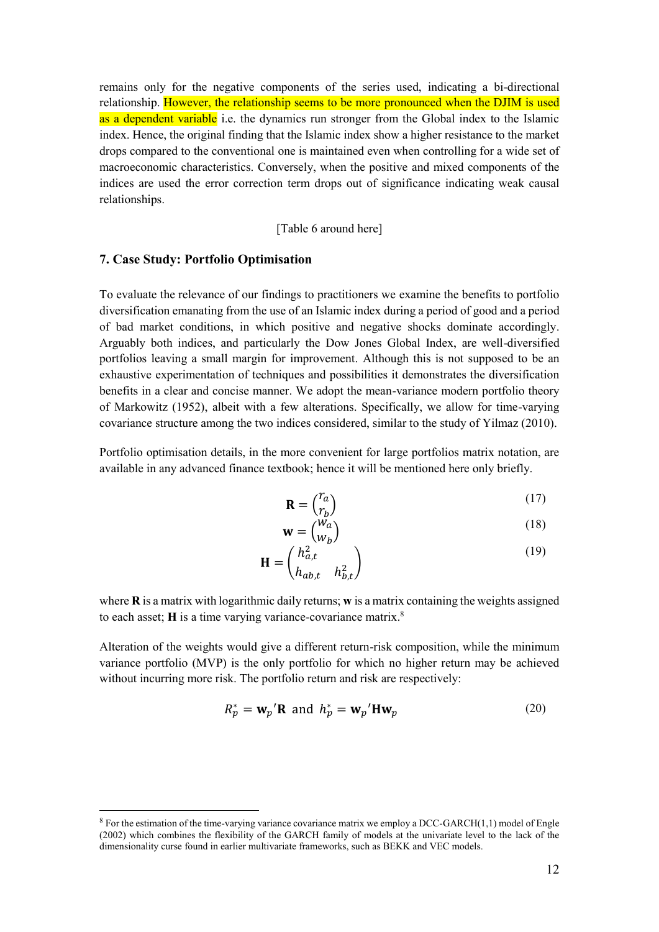remains only for the negative components of the series used, indicating a bi-directional relationship. However, the relationship seems to be more pronounced when the DJIM is used as a dependent variable i.e. the dynamics run stronger from the Global index to the Islamic index. Hence, the original finding that the Islamic index show a higher resistance to the market drops compared to the conventional one is maintained even when controlling for a wide set of macroeconomic characteristics. Conversely, when the positive and mixed components of the indices are used the error correction term drops out of significance indicating weak causal relationships.

#### [Table 6 around here]

#### **7. Case Study: Portfolio Optimisation**

 $\overline{a}$ 

To evaluate the relevance of our findings to practitioners we examine the benefits to portfolio diversification emanating from the use of an Islamic index during a period of good and a period of bad market conditions, in which positive and negative shocks dominate accordingly. Arguably both indices, and particularly the Dow Jones Global Index, are well-diversified portfolios leaving a small margin for improvement. Although this is not supposed to be an exhaustive experimentation of techniques and possibilities it demonstrates the diversification benefits in a clear and concise manner. We adopt the mean-variance modern portfolio theory of Markowitz (1952), albeit with a few alterations. Specifically, we allow for time-varying covariance structure among the two indices considered, similar to the study of Yilmaz (2010).

Portfolio optimisation details, in the more convenient for large portfolios matrix notation, are available in any advanced finance textbook; hence it will be mentioned here only briefly.

$$
\mathbf{R} = \begin{pmatrix} r_a \\ r_b \end{pmatrix} \tag{17}
$$

$$
\mathbf{w} = \begin{pmatrix} w_a \\ w_b \end{pmatrix} \tag{18}
$$

$$
\mathbf{H} = \begin{pmatrix} h_{a,t}^2 & \\ h_{ab,t} & h_{b,t}^2 \end{pmatrix}
$$
 (19)

where **R** is a matrix with logarithmic daily returns; **w** is a matrix containing the weights assigned to each asset; **H** is a time varying variance-covariance matrix. 8

Alteration of the weights would give a different return-risk composition, while the minimum variance portfolio (MVP) is the only portfolio for which no higher return may be achieved without incurring more risk. The portfolio return and risk are respectively:

$$
R_p^* = \mathbf{w}_p' \mathbf{R} \text{ and } h_p^* = \mathbf{w}_p' \mathbf{H} \mathbf{w}_p \tag{20}
$$

<sup>8</sup> For the estimation of the time-varying variance covariance matrix we employ a DCC-GARCH(1,1) model of Engle (2002) which combines the flexibility of the GARCH family of models at the univariate level to the lack of the dimensionality curse found in earlier multivariate frameworks, such as BEKK and VEC models.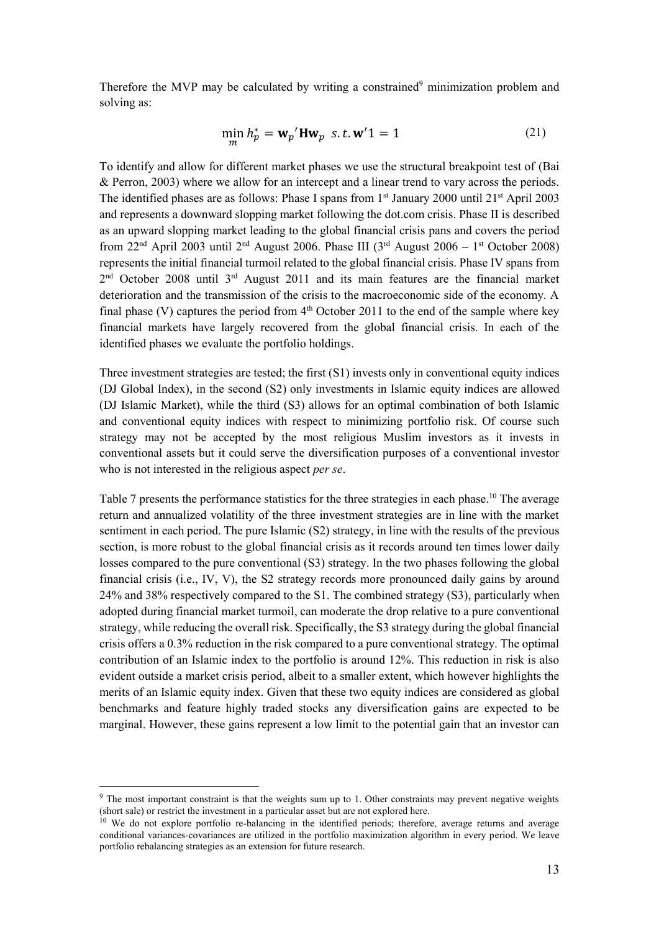Therefore the MVP may be calculated by writing a constrained<sup>9</sup> minimization problem and solving as:

$$
\min_{m} h_p^* = \mathbf{w}_p' \mathbf{H} \mathbf{w}_p \ \ s.t. \ \mathbf{w}' \mathbf{1} = 1 \tag{21}
$$

To identify and allow for different market phases we use the structural breakpoint test of (Bai & Perron, 2003) where we allow for an intercept and a linear trend to vary across the periods. The identified phases are as follows: Phase I spans from 1<sup>st</sup> January 2000 until 21<sup>st</sup> April 2003 and represents a downward slopping market following the dot.com crisis. Phase II is described as an upward slopping market leading to the global financial crisis pans and covers the period from  $22<sup>nd</sup>$  April 2003 until  $2<sup>nd</sup>$  August 2006. Phase III (3<sup>rd</sup> August 2006 – 1<sup>st</sup> October 2008) represents the initial financial turmoil related to the global financial crisis. Phase IV spans from  $2<sup>nd</sup>$  October 2008 until  $3<sup>rd</sup>$  August 2011 and its main features are the financial market deterioration and the transmission of the crisis to the macroeconomic side of the economy. A final phase (V) captures the period from  $4<sup>th</sup>$  October 2011 to the end of the sample where key financial markets have largely recovered from the global financial crisis. In each of the identified phases we evaluate the portfolio holdings.

Three investment strategies are tested; the first (S1) invests only in conventional equity indices (DJ Global Index), in the second (S2) only investments in Islamic equity indices are allowed (DJ Islamic Market), while the third (S3) allows for an optimal combination of both Islamic and conventional equity indices with respect to minimizing portfolio risk. Of course such strategy may not be accepted by the most religious Muslim investors as it invests in conventional assets but it could serve the diversification purposes of a conventional investor who is not interested in the religious aspect *per se*.

Table 7 presents the performance statistics for the three strategies in each phase.<sup>10</sup> The average return and annualized volatility of the three investment strategies are in line with the market sentiment in each period. The pure Islamic (S2) strategy, in line with the results of the previous section, is more robust to the global financial crisis as it records around ten times lower daily losses compared to the pure conventional (S3) strategy. In the two phases following the global financial crisis (i.e., IV, V), the S2 strategy records more pronounced daily gains by around 24% and 38% respectively compared to the S1. The combined strategy (S3), particularly when adopted during financial market turmoil, can moderate the drop relative to a pure conventional strategy, while reducing the overall risk. Specifically, the S3 strategy during the global financial crisis offers a 0.3% reduction in the risk compared to a pure conventional strategy. The optimal contribution of an Islamic index to the portfolio is around 12%. This reduction in risk is also evident outside a market crisis period, albeit to a smaller extent, which however highlights the merits of an Islamic equity index. Given that these two equity indices are considered as global benchmarks and feature highly traded stocks any diversification gains are expected to be marginal. However, these gains represent a low limit to the potential gain that an investor can

 $\overline{a}$ 

<sup>&</sup>lt;sup>9</sup> The most important constraint is that the weights sum up to 1. Other constraints may prevent negative weights (short sale) or restrict the investment in a particular asset but are not explored here.

<sup>&</sup>lt;sup>10</sup> We do not explore portfolio re-balancing in the identified periods; therefore, average returns and average conditional variances-covariances are utilized in the portfolio maximization algorithm in every period. We leave portfolio rebalancing strategies as an extension for future research.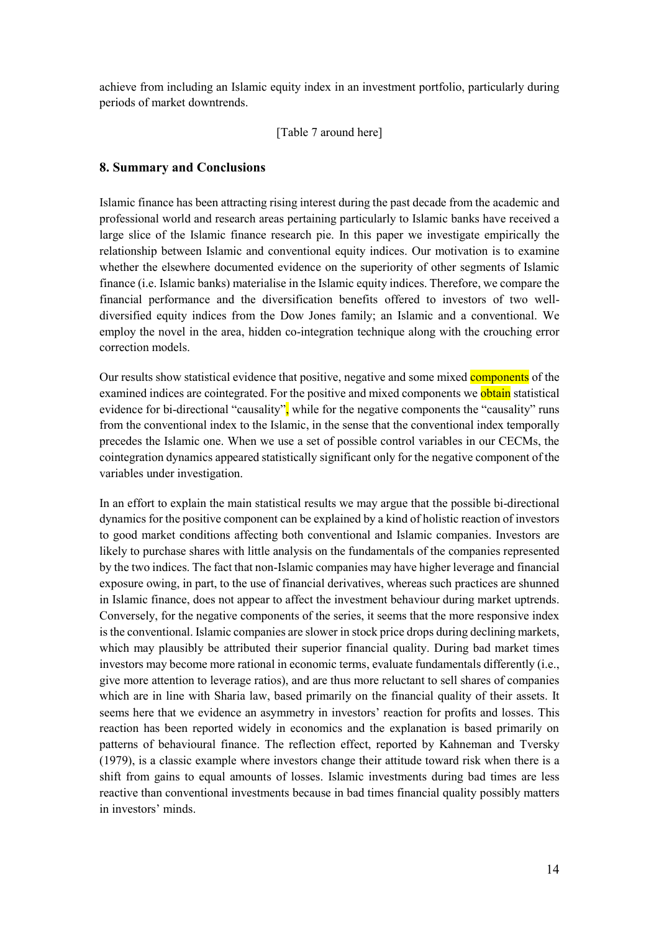achieve from including an Islamic equity index in an investment portfolio, particularly during periods of market downtrends.

[Table 7 around here]

### **8. Summary and Conclusions**

Islamic finance has been attracting rising interest during the past decade from the academic and professional world and research areas pertaining particularly to Islamic banks have received a large slice of the Islamic finance research pie. In this paper we investigate empirically the relationship between Islamic and conventional equity indices. Our motivation is to examine whether the elsewhere documented evidence on the superiority of other segments of Islamic finance (i.e. Islamic banks) materialise in the Islamic equity indices. Therefore, we compare the financial performance and the diversification benefits offered to investors of two welldiversified equity indices from the Dow Jones family; an Islamic and a conventional. We employ the novel in the area, hidden co-integration technique along with the crouching error correction models.

Our results show statistical evidence that positive, negative and some mixed components of the examined indices are cointegrated. For the positive and mixed components we obtain statistical evidence for bi-directional "causality", while for the negative components the "causality" runs from the conventional index to the Islamic, in the sense that the conventional index temporally precedes the Islamic one. When we use a set of possible control variables in our CECMs, the cointegration dynamics appeared statistically significant only for the negative component of the variables under investigation.

In an effort to explain the main statistical results we may argue that the possible bi-directional dynamics for the positive component can be explained by a kind of holistic reaction of investors to good market conditions affecting both conventional and Islamic companies. Investors are likely to purchase shares with little analysis on the fundamentals of the companies represented by the two indices. The fact that non-Islamic companies may have higher leverage and financial exposure owing, in part, to the use of financial derivatives, whereas such practices are shunned in Islamic finance, does not appear to affect the investment behaviour during market uptrends. Conversely, for the negative components of the series, it seems that the more responsive index is the conventional. Islamic companies are slower in stock price drops during declining markets, which may plausibly be attributed their superior financial quality. During bad market times investors may become more rational in economic terms, evaluate fundamentals differently (i.e., give more attention to leverage ratios), and are thus more reluctant to sell shares of companies which are in line with Sharia law, based primarily on the financial quality of their assets. It seems here that we evidence an asymmetry in investors' reaction for profits and losses. This reaction has been reported widely in economics and the explanation is based primarily on patterns of behavioural finance. The reflection effect, reported by Kahneman and Tversky (1979), is a classic example where investors change their attitude toward risk when there is a shift from gains to equal amounts of losses. Islamic investments during bad times are less reactive than conventional investments because in bad times financial quality possibly matters in investors' minds.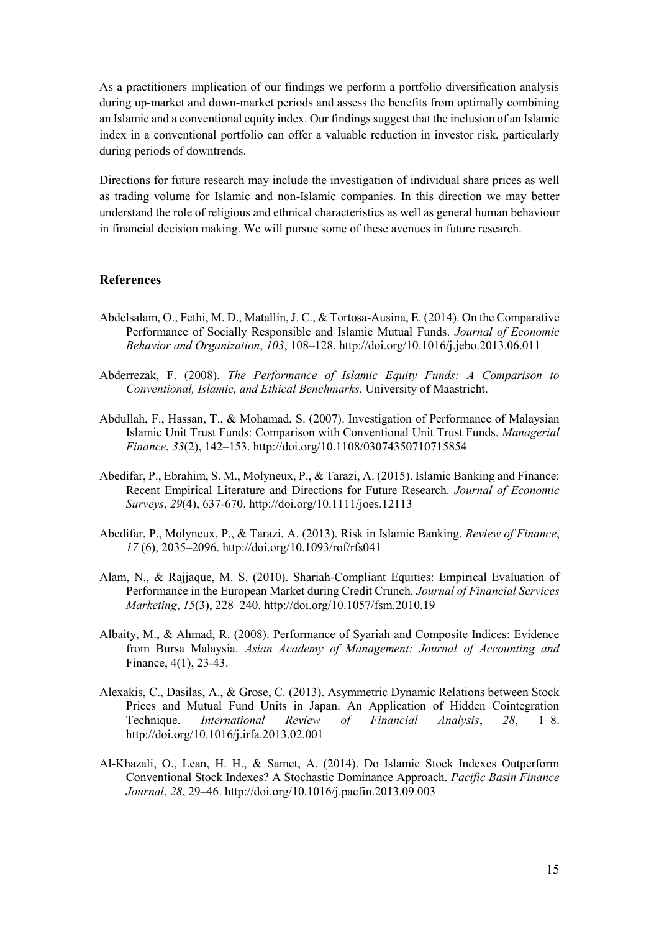As a practitioners implication of our findings we perform a portfolio diversification analysis during up-market and down-market periods and assess the benefits from optimally combining an Islamic and a conventional equity index. Our findings suggest that the inclusion of an Islamic index in a conventional portfolio can offer a valuable reduction in investor risk, particularly during periods of downtrends.

Directions for future research may include the investigation of individual share prices as well as trading volume for Islamic and non-Islamic companies. In this direction we may better understand the role of religious and ethnical characteristics as well as general human behaviour in financial decision making. We will pursue some of these avenues in future research.

#### **References**

- Abdelsalam, O., Fethi, M. D., Matallín, J. C., & Tortosa-Ausina, E. (2014). On the Comparative Performance of Socially Responsible and Islamic Mutual Funds. *Journal of Economic Behavior and Organization*, *103*, 108–128. http://doi.org/10.1016/j.jebo.2013.06.011
- Abderrezak, F. (2008). *The Performance of Islamic Equity Funds: A Comparison to Conventional, Islamic, and Ethical Benchmarks.* University of Maastricht.
- Abdullah, F., Hassan, T., & Mohamad, S. (2007). Investigation of Performance of Malaysian Islamic Unit Trust Funds: Comparison with Conventional Unit Trust Funds. *Managerial Finance*, *33*(2), 142–153. http://doi.org/10.1108/03074350710715854
- Abedifar, P., Ebrahim, S. M., Molyneux, P., & Tarazi, A. (2015). Islamic Banking and Finance: Recent Empirical Literature and Directions for Future Research. *Journal of Economic Surveys*, *29*(4), 637-670. http://doi.org/10.1111/joes.12113
- Abedifar, P., Molyneux, P., & Tarazi, A. (2013). Risk in Islamic Banking. *Review of Finance*, *17* (6), 2035–2096. http://doi.org/10.1093/rof/rfs041
- Alam, N., & Rajjaque, M. S. (2010). Shariah-Compliant Equities: Empirical Evaluation of Performance in the European Market during Credit Crunch. *Journal of Financial Services Marketing*, *15*(3), 228–240. http://doi.org/10.1057/fsm.2010.19
- Albaity, M., & Ahmad, R. (2008). Performance of Syariah and Composite Indices: Evidence from Bursa Malaysia. *Asian Academy of Management: Journal of Accounting and*  Finance, 4(1), 23-43.
- Alexakis, C., Dasilas, A., & Grose, C. (2013). Asymmetric Dynamic Relations between Stock Prices and Mutual Fund Units in Japan. An Application of Hidden Cointegration Technique. *International Review of Financial Analysis*, *28*, 1–8. http://doi.org/10.1016/j.irfa.2013.02.001
- Al-Khazali, O., Lean, H. H., & Samet, A. (2014). Do Islamic Stock Indexes Outperform Conventional Stock Indexes? A Stochastic Dominance Approach. *Pacific Basin Finance Journal*, *28*, 29–46. http://doi.org/10.1016/j.pacfin.2013.09.003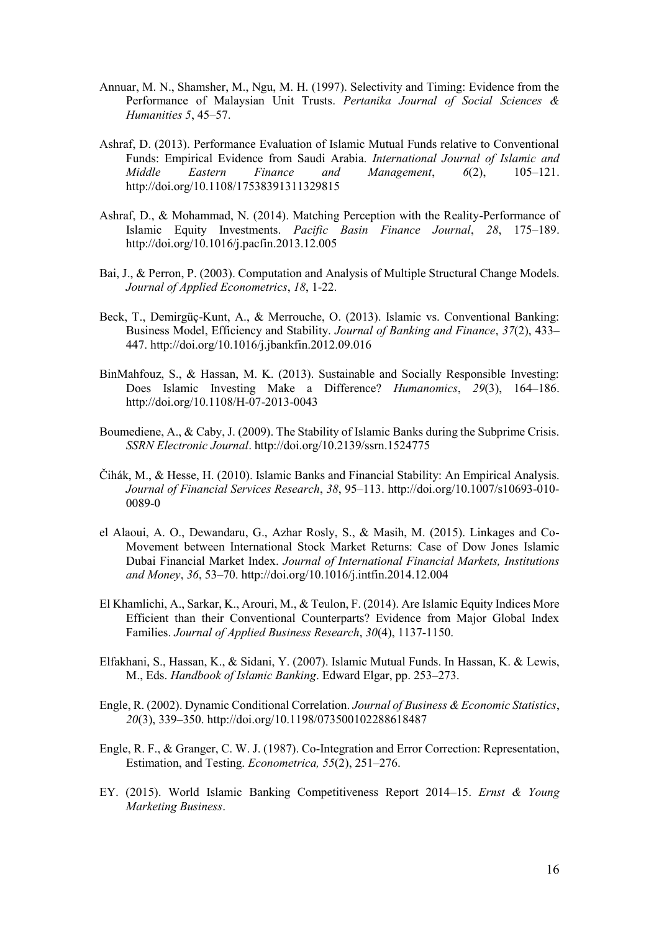- Annuar, M. N., Shamsher, M., Ngu, M. H. (1997). Selectivity and Timing: Evidence from the Performance of Malaysian Unit Trusts. *Pertanika Journal of Social Sciences & Humanities 5*, 45–57.
- Ashraf, D. (2013). Performance Evaluation of Islamic Mutual Funds relative to Conventional Funds: Empirical Evidence from Saudi Arabia. *International Journal of Islamic and Middle Eastern Finance and Management*, *6*(2), 105–121. http://doi.org/10.1108/17538391311329815
- Ashraf, D., & Mohammad, N. (2014). Matching Perception with the Reality-Performance of Islamic Equity Investments. *Pacific Basin Finance Journal*, *28*, 175–189. http://doi.org/10.1016/j.pacfin.2013.12.005
- Bai, J., & Perron, P. (2003). Computation and Analysis of Multiple Structural Change Models. *Journal of Applied Econometrics*, *18*, 1-22.
- Beck, T., Demirgüç-Kunt, A., & Merrouche, O. (2013). Islamic vs. Conventional Banking: Business Model, Efficiency and Stability. *Journal of Banking and Finance*, *37*(2), 433– 447. http://doi.org/10.1016/j.jbankfin.2012.09.016
- BinMahfouz, S., & Hassan, M. K. (2013). Sustainable and Socially Responsible Investing: Does Islamic Investing Make a Difference? *Humanomics*, *29*(3), 164–186. http://doi.org/10.1108/H-07-2013-0043
- Boumediene, A., & Caby, J. (2009). The Stability of Islamic Banks during the Subprime Crisis. *SSRN Electronic Journal*. http://doi.org/10.2139/ssrn.1524775
- Čihák, M., & Hesse, H. (2010). Islamic Banks and Financial Stability: An Empirical Analysis. *Journal of Financial Services Research*, *38*, 95–113. http://doi.org/10.1007/s10693-010- 0089-0
- el Alaoui, A. O., Dewandaru, G., Azhar Rosly, S., & Masih, M. (2015). Linkages and Co-Movement between International Stock Market Returns: Case of Dow Jones Islamic Dubai Financial Market Index. *Journal of International Financial Markets, Institutions and Money*, *36*, 53–70. http://doi.org/10.1016/j.intfin.2014.12.004
- El Khamlichi, A., Sarkar, K., Arouri, M., & Teulon, F. (2014). Are Islamic Equity Indices More Efficient than their Conventional Counterparts? Evidence from Major Global Index Families. *Journal of Applied Business Research*, *30*(4), 1137-1150.
- Elfakhani, S., Hassan, K., & Sidani, Y. (2007). Islamic Mutual Funds. In Hassan, K. & Lewis, M., Eds. *Handbook of Islamic Banking*. Edward Elgar, pp. 253–273.
- Engle, R. (2002). Dynamic Conditional Correlation. *Journal of Business & Economic Statistics*, *20*(3), 339–350. http://doi.org/10.1198/073500102288618487
- Engle, R. F., & Granger, C. W. J. (1987). Co-Integration and Error Correction: Representation, Estimation, and Testing. *Econometrica, 55*(2), 251–276.
- EY. (2015). World Islamic Banking Competitiveness Report 2014–15. *Ernst & Young Marketing Business*.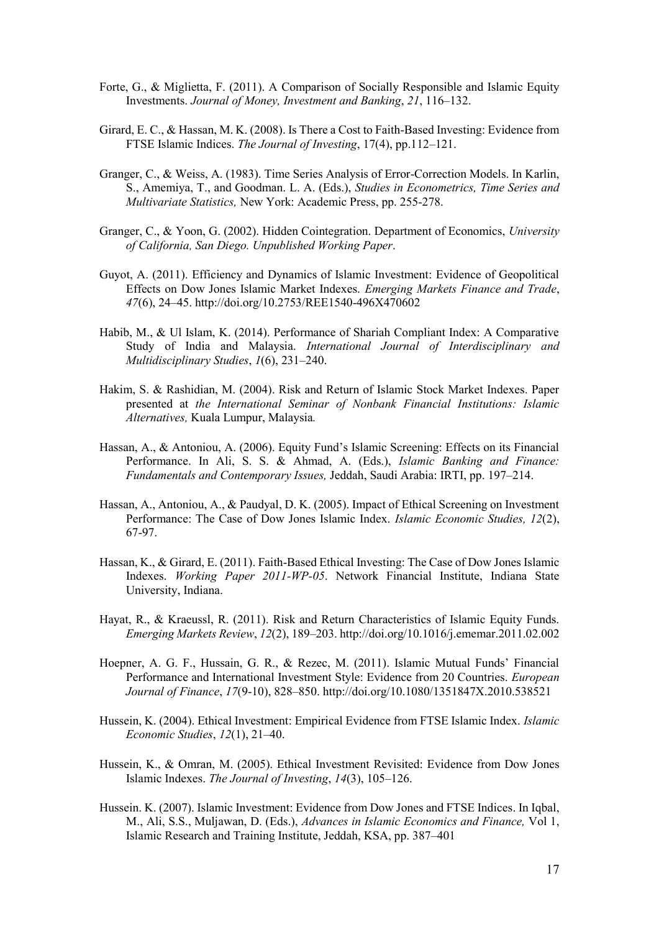- Forte, G., & Miglietta, F. (2011). A Comparison of Socially Responsible and Islamic Equity Investments. *Journal of Money, Investment and Banking*, *21*, 116–132.
- Girard, E. C., & Hassan, M. K. (2008). Is There a Cost to Faith-Based Investing: Evidence from FTSE Islamic Indices. *The Journal of Investing*, 17(4), pp.112–121.
- Granger, C., & Weiss, A. (1983). Time Series Analysis of Error-Correction Models. In Karlin, S., Amemiya, T., and Goodman. L. A. (Eds.), *Studies in Econometrics, Time Series and Multivariate Statistics,* New York: Academic Press, pp. 255-278.
- Granger, C., & Yoon, G. (2002). Hidden Cointegration. Department of Economics, *University of California, San Diego. Unpublished Working Paper*.
- Guyot, A. (2011). Efficiency and Dynamics of Islamic Investment: Evidence of Geopolitical Effects on Dow Jones Islamic Market Indexes. *Emerging Markets Finance and Trade*, *47*(6), 24–45. http://doi.org/10.2753/REE1540-496X470602
- Habib, M., & Ul Islam, K. (2014). Performance of Shariah Compliant Index: A Comparative Study of India and Malaysia. *International Journal of Interdisciplinary and Multidisciplinary Studies*, *1*(6), 231–240.
- Hakim, S. & Rashidian, M. (2004). Risk and Return of Islamic Stock Market Indexes. Paper presented at *the International Seminar of Nonbank Financial Institutions: Islamic Alternatives,* Kuala Lumpur, Malaysia*.*
- Hassan, A., & Antoniou, A. (2006). Equity Fund's Islamic Screening: Effects on its Financial Performance. In Ali, S. S. & Ahmad, A. (Eds.), *Islamic Banking and Finance: Fundamentals and Contemporary Issues,* Jeddah, Saudi Arabia: IRTI, pp. 197–214.
- Hassan, A., Antoniou, A., & Paudyal, D. K. (2005). Impact of Ethical Screening on Investment Performance: The Case of Dow Jones Islamic Index. *Islamic Economic Studies, 12*(2), 67-97.
- Hassan, K., & Girard, E. (2011). Faith-Based Ethical Investing: The Case of Dow Jones Islamic Indexes. *Working Paper 2011-WP-05*. Network Financial Institute, Indiana State University, Indiana.
- Hayat, R., & Kraeussl, R. (2011). Risk and Return Characteristics of Islamic Equity Funds. *Emerging Markets Review*, *12*(2), 189–203. http://doi.org/10.1016/j.ememar.2011.02.002
- Hoepner, A. G. F., Hussain, G. R., & Rezec, M. (2011). Islamic Mutual Funds' Financial Performance and International Investment Style: Evidence from 20 Countries. *European Journal of Finance*, *17*(9-10), 828–850. http://doi.org/10.1080/1351847X.2010.538521
- Hussein, K. (2004). Ethical Investment: Empirical Evidence from FTSE Islamic Index. *Islamic Economic Studies*, *12*(1), 21–40.
- Hussein, K., & Omran, M. (2005). Ethical Investment Revisited: Evidence from Dow Jones Islamic Indexes. *The Journal of Investing*, *14*(3), 105–126.
- Hussein. K. (2007). Islamic Investment: Evidence from Dow Jones and FTSE Indices. In Iqbal, M., Ali, S.S., Muljawan, D. (Eds.), *Advances in Islamic Economics and Finance,* Vol 1, Islamic Research and Training Institute, Jeddah, KSA, pp. 387–401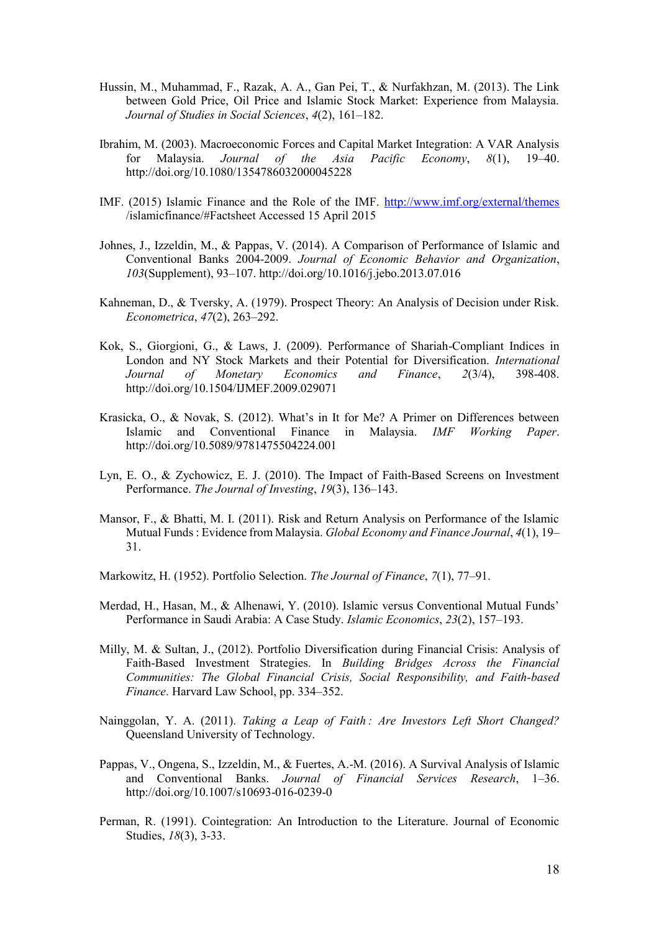- Hussin, M., Muhammad, F., Razak, A. A., Gan Pei, T., & Nurfakhzan, M. (2013). The Link between Gold Price, Oil Price and Islamic Stock Market: Experience from Malaysia. *Journal of Studies in Social Sciences*, *4*(2), 161–182.
- Ibrahim, M. (2003). Macroeconomic Forces and Capital Market Integration: A VAR Analysis for Malaysia. *Journal of the Asia Pacific Economy*, *8*(1), 19–40. http://doi.org/10.1080/1354786032000045228
- IMF. (2015) Islamic Finance and the Role of the IMF.<http://www.imf.org/external/themes> /islamicfinance/#Factsheet Accessed 15 April 2015
- Johnes, J., Izzeldin, M., & Pappas, V. (2014). A Comparison of Performance of Islamic and Conventional Banks 2004-2009. *Journal of Economic Behavior and Organization*, *103*(Supplement), 93–107. http://doi.org/10.1016/j.jebo.2013.07.016
- Kahneman, D., & Tversky, A. (1979). Prospect Theory: An Analysis of Decision under Risk. *Econometrica*, *47*(2), 263–292.
- Kok, S., Giorgioni, G., & Laws, J. (2009). Performance of Shariah-Compliant Indices in London and NY Stock Markets and their Potential for Diversification. *International Journal of Monetary Economics and Finance*, *2*(3/4), 398-408. http://doi.org/10.1504/IJMEF.2009.029071
- Krasicka, O., & Novak, S. (2012). What's in It for Me? A Primer on Differences between Islamic and Conventional Finance in Malaysia. *IMF Working Paper*. http://doi.org/10.5089/9781475504224.001
- Lyn, E. O., & Zychowicz, E. J. (2010). The Impact of Faith-Based Screens on Investment Performance. *The Journal of Investing*, *19*(3), 136–143.
- Mansor, F., & Bhatti, M. I. (2011). Risk and Return Analysis on Performance of the Islamic Mutual Funds : Evidence from Malaysia. *Global Economy and Finance Journal*, *4*(1), 19– 31.
- Markowitz, H. (1952). Portfolio Selection. *The Journal of Finance*, *7*(1), 77–91.
- Merdad, H., Hasan, M., & Alhenawi, Y. (2010). Islamic versus Conventional Mutual Funds' Performance in Saudi Arabia: A Case Study. *Islamic Economics*, *23*(2), 157–193.
- Milly, M. & Sultan, J., (2012). Portfolio Diversification during Financial Crisis: Analysis of Faith-Based Investment Strategies. In *Building Bridges Across the Financial Communities: The Global Financial Crisis, Social Responsibility, and Faith-based Finance*. Harvard Law School, pp. 334–352.
- Nainggolan, Y. A. (2011). *Taking a Leap of Faith : Are Investors Left Short Changed?* Queensland University of Technology.
- Pappas, V., Ongena, S., Izzeldin, M., & Fuertes, A.-M. (2016). A Survival Analysis of Islamic and Conventional Banks. *Journal of Financial Services Research*, 1–36. http://doi.org/10.1007/s10693-016-0239-0
- Perman, R. (1991). Cointegration: An Introduction to the Literature. Journal of Economic Studies, *18*(3), 3-33.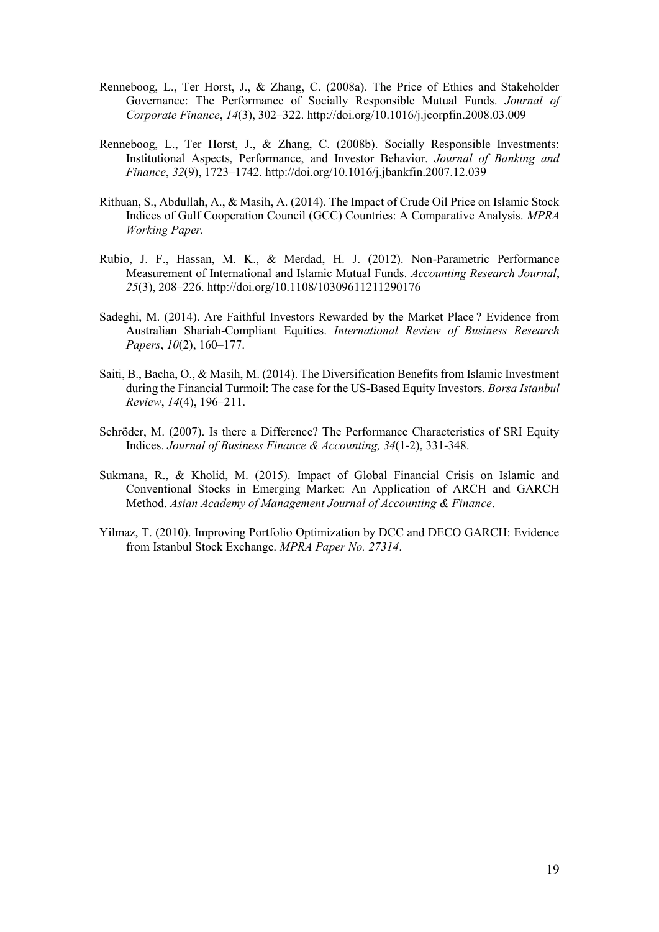- Renneboog, L., Ter Horst, J., & Zhang, C. (2008a). The Price of Ethics and Stakeholder Governance: The Performance of Socially Responsible Mutual Funds. *Journal of Corporate Finance*, *14*(3), 302–322. http://doi.org/10.1016/j.jcorpfin.2008.03.009
- Renneboog, L., Ter Horst, J., & Zhang, C. (2008b). Socially Responsible Investments: Institutional Aspects, Performance, and Investor Behavior. *Journal of Banking and Finance*, *32*(9), 1723–1742. http://doi.org/10.1016/j.jbankfin.2007.12.039
- Rithuan, S., Abdullah, A., & Masih, A. (2014). The Impact of Crude Oil Price on Islamic Stock Indices of Gulf Cooperation Council (GCC) Countries: A Comparative Analysis. *MPRA Working Paper.*
- Rubio, J. F., Hassan, M. K., & Merdad, H. J. (2012). Non-Parametric Performance Measurement of International and Islamic Mutual Funds. *Accounting Research Journal*, *25*(3), 208–226. http://doi.org/10.1108/10309611211290176
- Sadeghi, M. (2014). Are Faithful Investors Rewarded by the Market Place ? Evidence from Australian Shariah-Compliant Equities. *International Review of Business Research Papers*, *10*(2), 160–177.
- Saiti, B., Bacha, O., & Masih, M. (2014). The Diversification Benefits from Islamic Investment during the Financial Turmoil: The case for the US-Based Equity Investors. *Borsa Istanbul Review*, *14*(4), 196–211.
- Schröder, M. (2007). Is there a Difference? The Performance Characteristics of SRI Equity Indices. *Journal of Business Finance & Accounting, 34*(1-2), 331-348.
- Sukmana, R., & Kholid, M. (2015). Impact of Global Financial Crisis on Islamic and Conventional Stocks in Emerging Market: An Application of ARCH and GARCH Method. *Asian Academy of Management Journal of Accounting & Finance*.
- Yilmaz, T. (2010). Improving Portfolio Optimization by DCC and DECO GARCH: Evidence from Istanbul Stock Exchange. *MPRA Paper No. 27314*.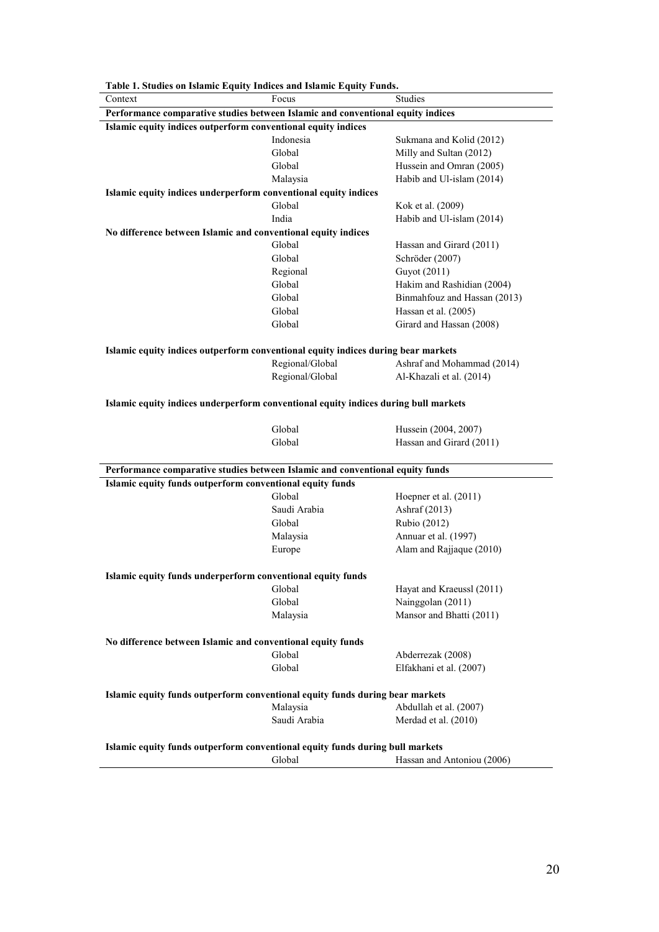| Table 1. Studies on Islamic Equity Indices and Islamic Equity Funds.                |                     |                                                |
|-------------------------------------------------------------------------------------|---------------------|------------------------------------------------|
| Context                                                                             | Focus               | <b>Studies</b>                                 |
| Performance comparative studies between Islamic and conventional equity indices     |                     |                                                |
| Islamic equity indices outperform conventional equity indices                       |                     |                                                |
|                                                                                     | Indonesia<br>Global | Sukmana and Kolid (2012)                       |
|                                                                                     | Global              | Milly and Sultan (2012)                        |
|                                                                                     | Malaysia            | Hussein and Omran (2005)                       |
| Islamic equity indices underperform conventional equity indices                     |                     | Habib and Ul-islam (2014)                      |
|                                                                                     | Global              |                                                |
|                                                                                     | India               | Kok et al. (2009)<br>Habib and Ul-islam (2014) |
| No difference between Islamic and conventional equity indices                       |                     |                                                |
|                                                                                     | Global              | Hassan and Girard (2011)                       |
|                                                                                     | Global              | Schröder (2007)                                |
|                                                                                     | Regional            | Guyot (2011)                                   |
|                                                                                     | Global              | Hakim and Rashidian (2004)                     |
|                                                                                     | Global              | Binmahfouz and Hassan (2013)                   |
|                                                                                     | Global              | Hassan et al. (2005)                           |
|                                                                                     | Global              | Girard and Hassan (2008)                       |
|                                                                                     |                     |                                                |
| Islamic equity indices outperform conventional equity indices during bear markets   |                     |                                                |
|                                                                                     | Regional/Global     | Ashraf and Mohammad (2014)                     |
|                                                                                     | Regional/Global     | Al-Khazali et al. (2014)                       |
|                                                                                     |                     |                                                |
| Islamic equity indices underperform conventional equity indices during bull markets |                     |                                                |
|                                                                                     |                     |                                                |
|                                                                                     | Global              | Hussein (2004, 2007)                           |
|                                                                                     | Global              | Hassan and Girard (2011)                       |
|                                                                                     |                     |                                                |
| Performance comparative studies between Islamic and conventional equity funds       |                     |                                                |
| Islamic equity funds outperform conventional equity funds                           |                     |                                                |
|                                                                                     | Global              | Hoepner et al. (2011)                          |
|                                                                                     | Saudi Arabia        | Ashraf (2013)                                  |
|                                                                                     | Global              | Rubio (2012)                                   |
|                                                                                     | Malaysia            | Annuar et al. (1997)                           |
|                                                                                     | Europe              | Alam and Rajjaque (2010)                       |
|                                                                                     |                     |                                                |
| Islamic equity funds underperform conventional equity funds                         |                     |                                                |
|                                                                                     | Global              | Hayat and Kraeussl (2011)                      |
|                                                                                     | Global              | Nainggolan (2011)                              |
|                                                                                     | Malaysia            | Mansor and Bhatti (2011)                       |
|                                                                                     |                     |                                                |
| No difference between Islamic and conventional equity funds                         |                     |                                                |
|                                                                                     | Global              | Abderrezak (2008)                              |
|                                                                                     | Global              | Elfakhani et al. (2007)                        |
|                                                                                     |                     |                                                |
| Islamic equity funds outperform conventional equity funds during bear markets       |                     |                                                |
|                                                                                     | Malaysia            | Abdullah et al. (2007)                         |
|                                                                                     | Saudi Arabia        | Merdad et al. (2010)                           |
|                                                                                     |                     |                                                |
| Islamic equity funds outperform conventional equity funds during bull markets       |                     |                                                |
|                                                                                     | Global              | Hassan and Antoniou (2006)                     |

**Table 1. Studies on Islamic Equity Indices and Islamic Equity Funds.**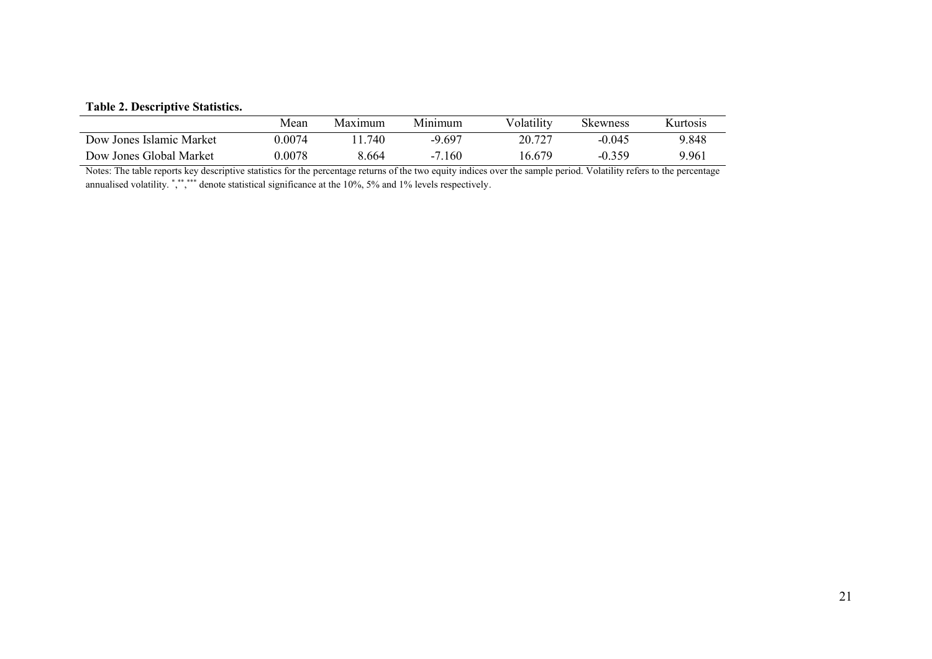# **Table 2. Descriptive Statistics.**

|                          | Mean   | Maxımum | Minimum  | Volatility | Skewness | Kurtosis |
|--------------------------|--------|---------|----------|------------|----------|----------|
| Dow Jones Islamic Market | 9.0074 | 1 740   | $-9.697$ | 20.727     | -0.045   | 9.848    |
| Dow Jones Global Market  | 0.0078 | 8.664   | -7.160   | 16.679     | $-0.359$ | 9.961    |

Notes: The table reports key descriptive statistics for the percentage returns of the two equity indices over the sample period. Volatility refers to the percentage annualised volatility. \*,\*\*,\*\*\*\* denote statistical significance at the 10%, 5% and 1% levels respectively.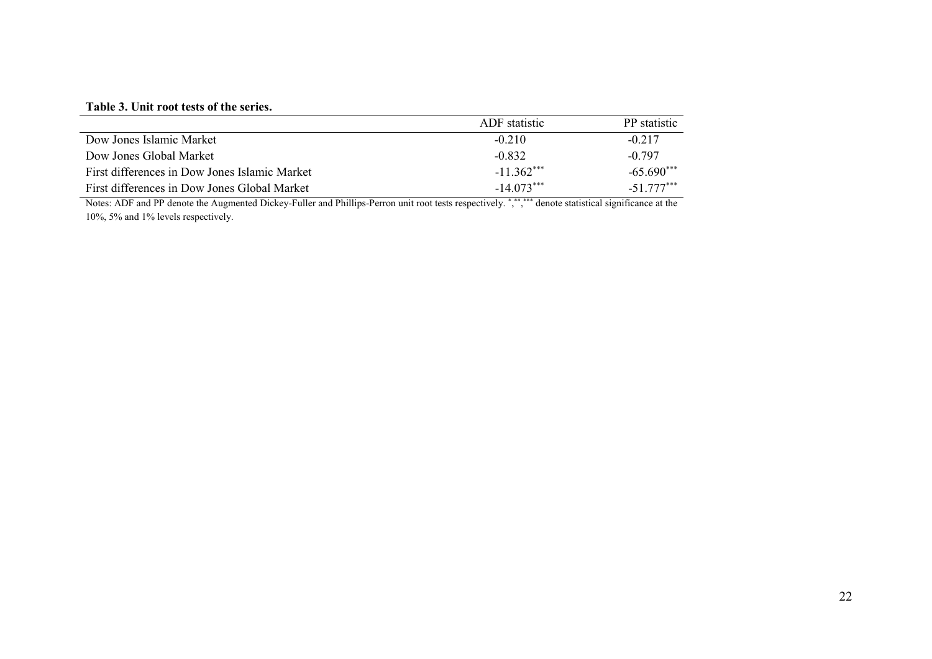#### **Table 3. Unit root tests of the series.**

|                                               | ADF statistic | <b>PP</b> statistic |
|-----------------------------------------------|---------------|---------------------|
| Dow Jones Islamic Market                      | $-0.210$      | $-0.217$            |
| Dow Jones Global Market                       | $-0.832$      | $-0.797$            |
| First differences in Dow Jones Islamic Market | $-11.362***$  | $-65.690***$        |
| First differences in Dow Jones Global Market  | $-14.073***$  | $-5177^{***}$       |

Notes: ADF and PP denote the Augmented Dickey-Fuller and Phillips-Perron unit root tests respectively. \*,\*\*,\*\*\*\*\*\* denote statistical significance at the 10%, 5% and 1% levels respectively.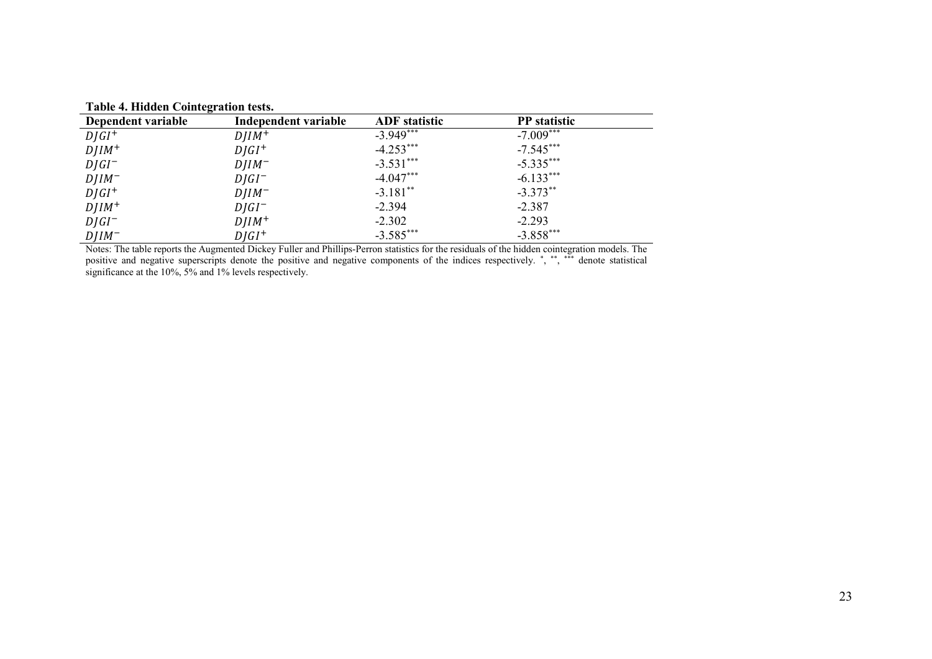| $ -$<br>Dependent variable  | Independent variable        | <b>ADF</b> statistic | <b>PP</b> statistic |
|-----------------------------|-----------------------------|----------------------|---------------------|
| $D\int G I^+$               | $D$ <i>IIM</i> <sup>+</sup> | $-3.949***$          | $-7.009***$         |
| $D$ <i>JIM</i> <sup>+</sup> | $D\tilde{I}GI^+$            | $-4.253***$          | $-7.545***$         |
| $DIGI^-$                    | $D$ <i>IIM</i> $-$          | $-3.531***$          | $-5.335***$         |
| $D$ <i>JIM</i> $-$          | $DIGI^-$                    | $-4.047***$          | $-6.133***$         |
| $DJGI^+$                    | $D$ <i>IIM</i> $-$          | $-3.181**$           | $-3.373**$          |
| $D$ <i>JIM</i> <sup>+</sup> | $DIGI^-$                    | $-2.394$             | $-2.387$            |
| $DIGI^-$                    | $D$ <i>IIM</i> <sup>+</sup> | $-2.302$             | $-2.293$            |
| $D/IM^-$                    | $DJGI^+$                    | $-3.585***$          | $-3.858***$         |

**Table 4. Hidden Cointegration tests.**

Notes: The table reports the Augmented Dickey Fuller and Phillips-Perron statistics for the residuals of the hidden cointegration models. The positive and negative superscripts denote the positive and negative components of the indices respectively. \*, \*\*, \*\*\*\* denote statistical significance at the 10%, 5% and 1% levels respectively.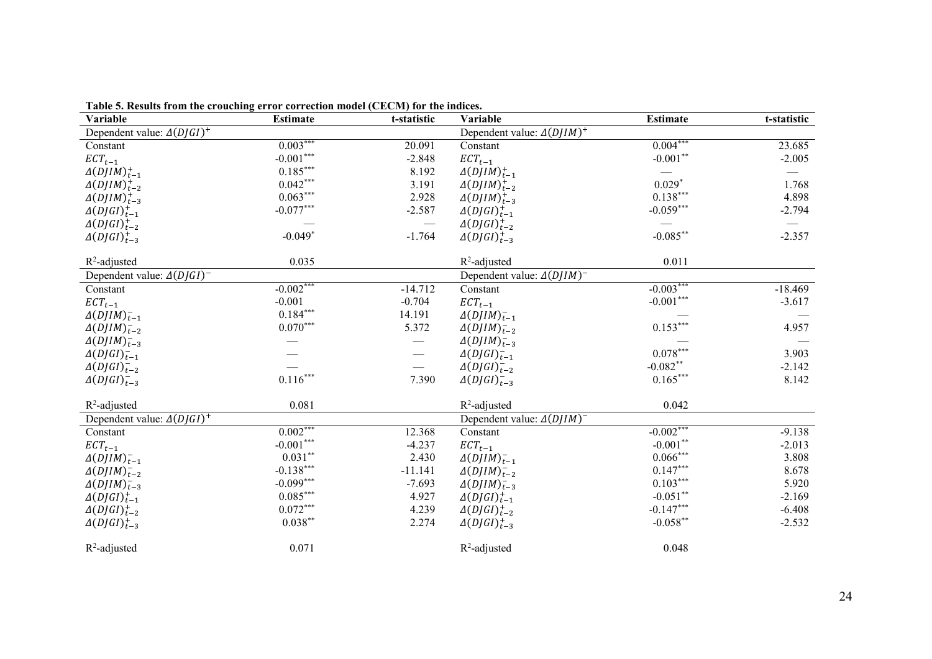| Variable                            | $\alpha$ . The correction model<br><b>Estimate</b> | t-statistic              | <b>Variable</b>                     | <b>Estimate</b>        | t-statistic |
|-------------------------------------|----------------------------------------------------|--------------------------|-------------------------------------|------------------------|-------------|
| Dependent value: $\Delta(D/GI)^+$   |                                                    |                          | Dependent value: $\Delta(D/IM)^+$   |                        |             |
| Constant                            | $0.003***$                                         | 20.091                   | Constant                            | $0.004***$             | 23.685      |
| $ECT_{t-1}$                         | $-0.001***$                                        | $-2.848$                 | $ECT_{t-1}$                         | $-0.001**$             | $-2.005$    |
| $\Delta(DJIM)_{t-1}^+$              | $0.185***$                                         | 8.192                    | $\Delta(DJIM)_{t-1}^+$              |                        |             |
| $\Delta(DJIM)_{t-2}^+$              | $0.042***$                                         | 3.191                    | $\Delta(DJM)^{+}_{t-2}$             | $0.029*$               | 1.768       |
| $\Delta(D/IM)^{+}_{t=3}$            | $0.063***$                                         | 2.928                    | $\Delta(DJIM)_{t-3}^+$              | $0.138***$             | 4.898       |
| $\Delta(DJGI)_{t-1}^+$              | $-0.077***$                                        | $-2.587$                 | $\Delta(DJGI)^{+}_{t-1}$            | $-0.059***$            | $-2.794$    |
| $\Delta(DJGI)^{+}_{t-2}$            |                                                    | $\overline{\phantom{m}}$ | $\Delta(DJGI)^{+}_{t-2}$            |                        |             |
| $\Delta(DJGI)^{+}_{t-3}$            | $-0.049*$                                          | $-1.764$                 | $\Delta(DJGI)^{+}_{t-3}$            | $-0.085**$             | $-2.357$    |
|                                     |                                                    |                          |                                     |                        |             |
| $R^2$ -adjusted                     | 0.035                                              |                          | $R^2$ -adjusted                     | 0.011                  |             |
| Dependent value: $\Delta(DJGI)^{-}$ |                                                    |                          | Dependent value: $\Delta(D/IM)^{-}$ |                        |             |
| Constant                            | $-0.002***$                                        | $-14.712$                | Constant                            | $-0.003***$            | $-18.469$   |
| $ECT_{t-1}$                         | $-0.001$                                           | $-0.704$                 | $ECT_{t-1}$                         | $-0.001***$            | $-3.617$    |
| $\Delta(DJIM)_{t-1}^-$              | $0.184***$                                         | 14.191                   | $\Delta(DJIM)_{t-1}^-$              |                        |             |
| $\Delta(DJIM)_{t-2}^-$              | $0.070***$                                         | 5.372                    | $\Delta(DJIM)_{t-2}^-$              | $0.153***$             | 4.957       |
| $\Delta(DJIM)_{t-3}^-$              |                                                    |                          | $\Delta(DJIM)_{t-3}^-$              |                        |             |
| $\Delta(DJGI)_{t-1}^-$              |                                                    |                          | $\Delta(DJGI)_{t-1}^-$              | $0.078^{\ast\ast\ast}$ | 3.903       |
| $\Delta(DJGI)_{t-2}^-$              |                                                    |                          | $\Delta(DJGI)_{t-2}^-$              | $-0.082***$            | $-2.142$    |
| $\Delta(DJGI)_{t-3}^-$              | $0.116***$                                         | 7.390                    | $\Delta(DJGI)_{t=3}^-$              | $0.165***$             | 8.142       |
| $R^2$ -adjusted                     | 0.081                                              |                          | $R^2$ -adjusted                     | 0.042                  |             |
| Dependent value: $\Delta(DJGI)^+$   |                                                    |                          | Dependent value: $\Delta(D/IM)^{-}$ |                        |             |
| Constant                            | $0.002***$                                         | 12.368                   | Constant                            | $-0.002***$            | $-9.138$    |
| $ECT_{t-1}$                         | $-0.001***$                                        | $-4.237$                 | $ECT_{t-1}$                         | $-0.001**$             | $-2.013$    |
| $\Delta(DJIM)_{t-1}^-$              | $0.031***$                                         | 2.430                    | $\Delta(DJIM)_{t-1}^-$              | $0.066***$             | 3.808       |
| $\Delta(DJIM)_{t-2}^-$              | $-0.138***$                                        | $-11.141$                | $\Delta(DJIM)_{t-2}^-$              | $0.147***$             | 8.678       |
| $\Delta(D/IM)_{t=3}^-$              | $-0.099***$                                        | $-7.693$                 | $\Delta(D/IM)_{t=3}^-$              | $0.103***$             | 5.920       |
| $\Delta(DJGI)^{+}_{t-1}$            | $0.085***$                                         | 4.927                    | $\Delta(DJGI)_{t-1}^+$              | $-0.051**$             | $-2.169$    |
| $\Delta(DJGI)^{+}_{t-2}$            | $0.072***$                                         | 4.239                    | $\Delta(DJGI)^{+}_{t-2}$            | $-0.147***$            | $-6.408$    |
| $\Delta(DJGI)^{+}_{t-3}$            | $0.038**$                                          | 2.274                    | $\Delta(DJGI)_{t=3}^+$              | $-0.058**$             | $-2.532$    |
| $R^2$ -adjusted                     | 0.071                                              |                          | $R^2$ -adjusted                     | 0.048                  |             |

**Table 5. Results from the crouching error correction model (CECM) for the indices.**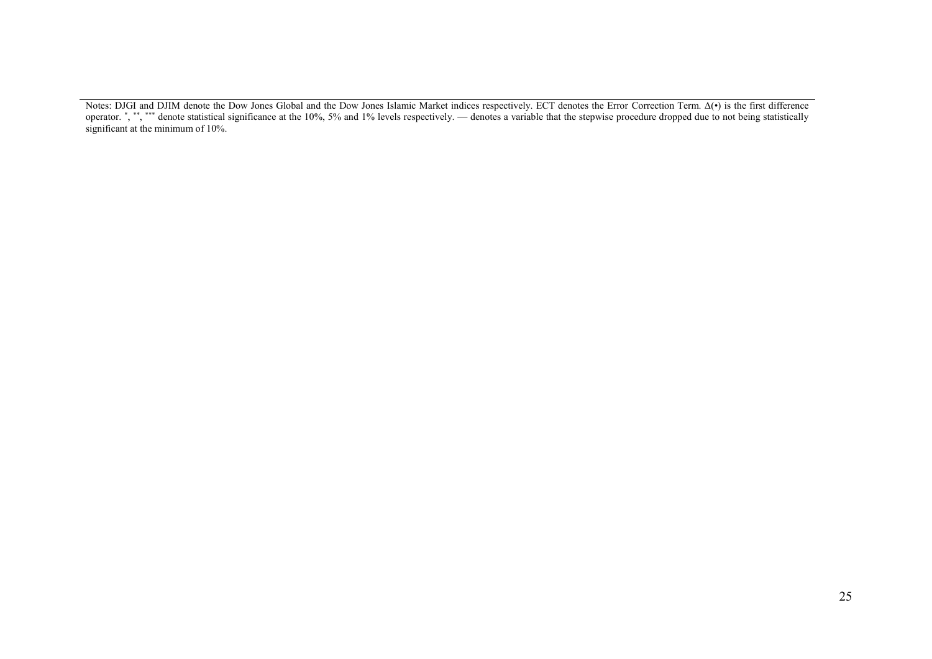Notes: DJGI and DJIM denote the Dow Jones Global and the Dow Jones Islamic Market indices respectively. ECT denotes the Error Correction Term. Δ(•) is the first difference operator. \*, \*\*\*, \*\*\*\* denote statistical significance at the 10%, 5% and 1% levels respectively. — denotes a variable that the stepwise procedure dropped due to not being statistically significant at the minimum of 10%.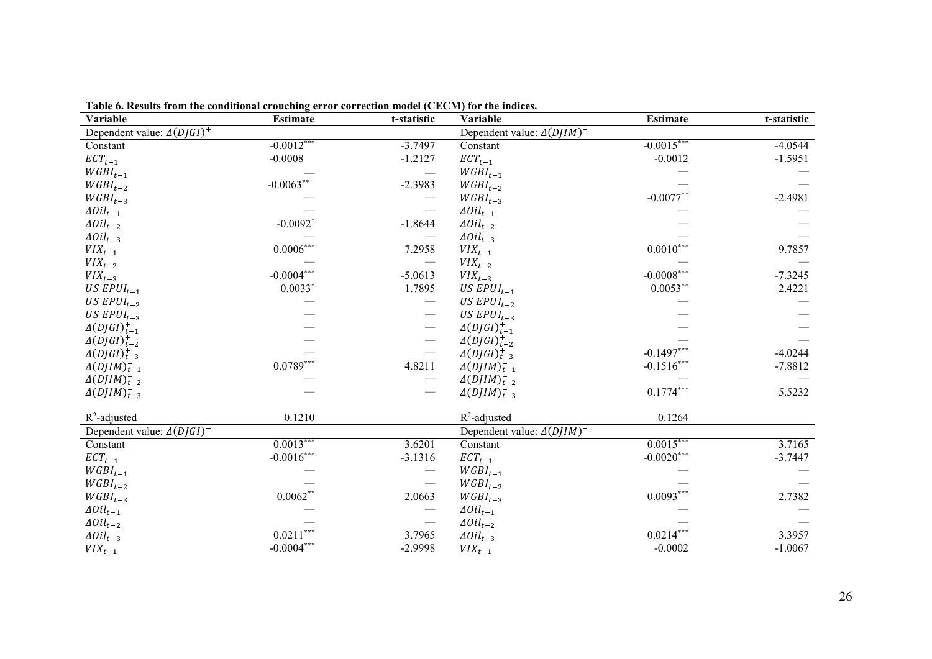| radic v. Kesuns from the conditional crouening cribit correction model (CECM) for the mulces.<br>Variable | <b>Estimate</b>  | t-statistic                   | Variable                            | <b>Estimate</b>         | t-statistic |
|-----------------------------------------------------------------------------------------------------------|------------------|-------------------------------|-------------------------------------|-------------------------|-------------|
| Dependent value: $\Delta(DJGI)^+$                                                                         |                  |                               | Dependent value: $\Delta(D/IM)^+$   |                         |             |
| Constant                                                                                                  | $-0.0012***$     | $-3.7497$                     | Constant                            | $-0.0015***$            | $-4.0544$   |
| $ECT_{t-1}$                                                                                               | $-0.0008$        | $-1.2127$                     | $ECT_{t-1}$                         | $-0.0012$               | $-1.5951$   |
| $WGBI_{t-1}$                                                                                              |                  |                               | $WGBI_{t-1}$                        |                         |             |
| $WGBI_{t-2}$                                                                                              | $-0.0063**$      | $-2.3983$                     | $WGBI_{t-2}$                        |                         |             |
| $WGBI_{t-3}$                                                                                              |                  |                               | $WGBI_{t-3}$                        | $-0.0077^{**}$          | $-2.4981$   |
| $\Delta Oil_{t-1}$                                                                                        |                  |                               | $\Delta Oil_{t-1}$                  |                         |             |
| $\Delta Oil_{t-2}$                                                                                        | $-0.0092*$       | $-1.8644$                     | $\Delta Oil_{t-2}$                  |                         |             |
| $\Delta Oil_{t-3}$                                                                                        |                  |                               | $\Delta Oil_{t-3}$                  |                         |             |
| $VIX_{t-1}$                                                                                               | $0.0006\sp{***}$ | 7.2958                        | $VIX_{t-1}$                         | $0.0010***$             | 9.7857      |
| $VIX_{t-2}$                                                                                               |                  |                               | $VIX_{t-2}$                         |                         |             |
| $VIX_{t-3}$                                                                                               | $-0.0004***$     | $-5.0613$                     | $VIX_{t-3}$                         | $-0.0008***$            | $-7.3245$   |
| US $EPUI_{t-1}$                                                                                           | $0.0033*$        | 1.7895                        | US $EPUI_{t-1}$                     | $0.0053**$              | 2.4221      |
| US $EPUI_{t-2}$                                                                                           |                  |                               | US $EPUI_{t-2}$                     |                         |             |
| US EPUI <sub>t-3</sub>                                                                                    |                  |                               | US EPUI <sub>t-3</sub>              |                         |             |
| $\varDelta(DJGI)^{+}_{t-1}$                                                                               |                  |                               | $\Delta(DJGI)^{+}_{t-1}$            |                         |             |
| $\Delta(DJGI)^{+}_{t-2}$                                                                                  |                  |                               | $\Delta(DJGI)^{+}_{t-2}$            |                         |             |
| $\Delta(DJGI)^{+}_{t-3}$                                                                                  |                  |                               | $\Delta(DJGI)^{+}_{t-3}$            | $-0.1497***$            | $-4.0244$   |
| $\Delta(DJIM)_{t-1}^+$                                                                                    | $0.0789^{***}$   | 4.8211                        | $\Delta(D/IM)_{t-1}^+$              | $-0.1516***$            | $-7.8812$   |
| $\Delta(D/IM)^{+}_{t-2}$                                                                                  |                  |                               | $\Delta(D/IM)^{+}_{t-2}$            |                         |             |
| $\Delta(DJIM)_{t-3}^+$                                                                                    |                  | $\overbrace{\phantom{13333}}$ | $\Delta(D/IM)_{t=3}^+$              | $0.1774^{\ast\ast\ast}$ | 5.5232      |
|                                                                                                           |                  |                               |                                     |                         |             |
| $R^2$ -adjusted                                                                                           | 0.1210           |                               | $R^2$ -adjusted                     | 0.1264                  |             |
| Dependent value: $\Delta(DJGI)^{-}$                                                                       |                  |                               | Dependent value: $\Delta(D/IM)^{-}$ |                         |             |
| Constant                                                                                                  | $0.0013***$      | 3.6201                        | Constant                            | $0.0015***$             | 3.7165      |
| $ECT_{t-1}$                                                                                               | $-0.0016***$     | $-3.1316$                     | $ECT_{t-1}$                         | $-0.0020***$            | $-3.7447$   |
| $WGBI_{t-1}$                                                                                              |                  |                               | $WGBI_{t-1}$                        |                         |             |
| $WGBI_{t-2}$                                                                                              |                  |                               | $WGBI_{t-2}$                        |                         |             |
| $WGBI_{t-3}$                                                                                              | $0.0062^{**}$    | 2.0663                        | $WGBI_{t-3}$                        | $0.0093^{***}\,$        | 2.7382      |
| $\Delta Oil_{t-1}$                                                                                        |                  |                               | $\Delta Oil_{t-1}$                  |                         |             |
| $\Delta Oil_{t-2}$                                                                                        |                  |                               | $\Delta Oil_{t-2}$                  |                         |             |
| $\Delta Oil_{t-3}$                                                                                        | $0.0211^{***}$   | 3.7965                        | $\Delta Oil_{t-3}$                  | $0.0214***$             | 3.3957      |
|                                                                                                           |                  |                               |                                     |                         |             |

**Table 6. Results from the conditional crouching error correction model (CECM) for the indices.**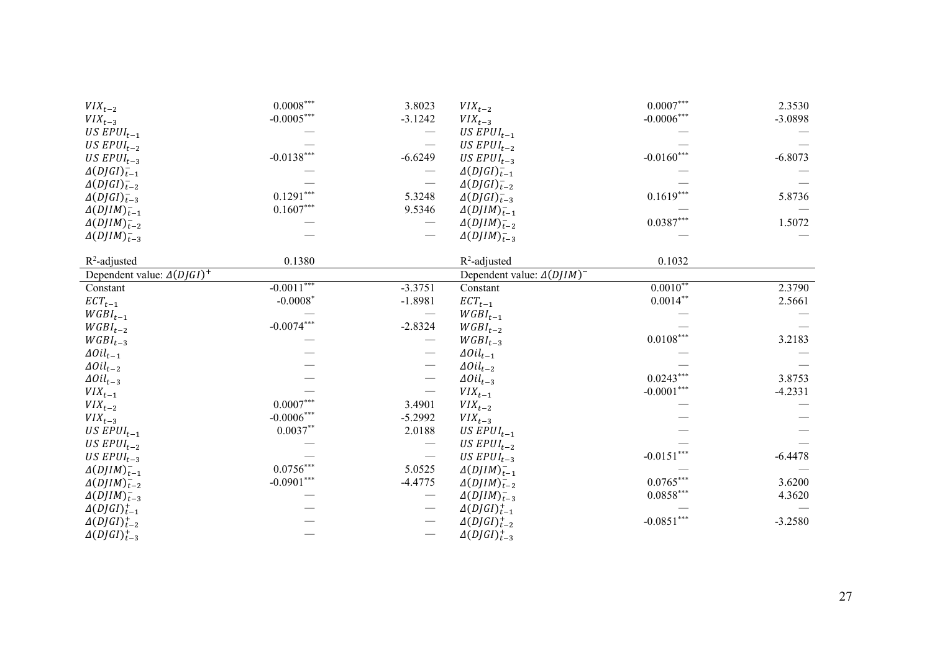| $VIX_{t-2}$                       | $0.0008^{\ast\ast\ast}$ | 3.8023                          | $VIX_{t-2}$                                  | $0.0007***$             | 2.3530    |
|-----------------------------------|-------------------------|---------------------------------|----------------------------------------------|-------------------------|-----------|
| $VIX_{t-3}$                       | $-0.0005***$            | $-3.1242$                       | $VIX_{t-3}$                                  | $-0.0006***$            | $-3.0898$ |
| US $EPUI_{t-1}$                   |                         | $\overbrace{\phantom{13333}}$   | US $EPUI_{t-1}$                              |                         |           |
| US $EPUI_{t-2}$                   |                         |                                 | US $EPUI_{t-2}$                              |                         |           |
| US EPUI <sub>t-3</sub>            | $-0.0138^{***}\,$       | $-6.6249$                       | US EPUI <sub>t-3</sub>                       | $-0.0160***$            | $-6.8073$ |
| $\Delta(DJGI)^{-}_{t-1}$          |                         |                                 | $\Delta(DJGI)_{t-1}^-$                       |                         |           |
| $\Delta(DJGI)^{-}_{t-2}$          |                         |                                 | $\Delta(DJGI)_{t-2}^-$                       |                         |           |
| $\Delta(DJGI)^{-}_{t-3}$          | $0.1291^{\ast\ast\ast}$ | 5.3248                          | $\Delta(DJGI)^{-}_{t-3}$                     | $0.1619***$             | 5.8736    |
| $\Delta(DJIM)_{t-1}^-$            | $0.1607***$             | 9.5346                          | $\Delta(DJIM)_{t-1}^-$                       |                         |           |
| $\Delta(DJIM)_{t-2}^-$            |                         |                                 | $\Delta(DJIM)_{t-2}^-$                       | $0.0387^{\ast\ast\ast}$ | 1.5072    |
| $\Delta(DJIM)_{t-3}^-$            |                         |                                 | $\Delta(DJIM)_{t=3}^-$                       |                         |           |
|                                   |                         |                                 |                                              |                         |           |
| $R^2$ -adjusted                   | 0.1380                  |                                 | $R^2$ -adjusted                              | 0.1032                  |           |
| Dependent value: $\Delta(D/GI)^+$ |                         |                                 | Dependent value: $\Delta(D/IM)$ <sup>-</sup> |                         |           |
| Constant                          | $-0.0011***$            | $-3.3751$                       | Constant                                     | $0.0010**$              | 2.3790    |
| $ECT_{t-1}$                       | $-0.0008*$              | $-1.8981$                       | $ECT_{t-1}$                                  | $0.0014**$              | 2.5661    |
| $WGBI_{t-1}$                      |                         |                                 | $WGBI_{t-1}$                                 |                         |           |
| $WGBI_{t-2}$                      | $-0.0074^{***}\,$       | $-2.8324$                       | $WGBI_{t-2}$                                 |                         |           |
| $WGBI_{t-3}$                      |                         | $\overbrace{\phantom{13333}}$   | $WGBI_{t-3}$                                 | $0.0108^{\ast\ast\ast}$ | 3.2183    |
| $\Delta Oil_{t-1}$                |                         | $\qquad \qquad$                 | $\Delta Oil_{t-1}$                           |                         |           |
| $\Delta Oil_{t-2}$                |                         |                                 | $\Delta Oil_{t-2}$                           |                         |           |
| $\Delta Oil_{t-3}$                |                         |                                 | $\Delta Oil_{t-3}$                           | $0.0243^{\ast\ast\ast}$ | 3.8753    |
| $VIX_{t-1}$                       |                         |                                 | $VIX_{t-1}$                                  | $-0.0001^{***}\,$       | $-4.2331$ |
| $VIX_{t-2}$                       | $0.0007^{***}\,$        | 3.4901                          | $VIX_{t-2}$                                  |                         |           |
| $VIX_{t-3}$                       | $-0.0006***$            | $-5.2992$                       | $VIX_{t-3}$                                  |                         |           |
| US $EPUI_{t-1}$                   | $0.0037**$              | 2.0188                          | US $EPUI_{t-1}$                              |                         |           |
| US $EPUI_{t-2}$                   |                         | $\qquad \qquad$                 | US $EPUI_{t-2}$                              |                         |           |
| US $EPUI_{t-3}$                   |                         |                                 | US $EPUI_{t-3}$                              | $-0.0151^{***}$         | $-6.4478$ |
| $\Delta(DJIM)_{t-1}^-$            | $0.0756***$             | 5.0525                          | $\Delta(DJIM)_{t-1}^-$                       |                         |           |
| $\Delta(DJIM)_{t-2}^-$            | $-0.0901***$            | $-4.4775$                       | $\Delta(DJIM)_{t-2}^-$                       | $0.0765***$             | 3.6200    |
| $\Delta(DJIM)_{t-3}^-$            |                         |                                 | $\Delta(DJIM)_{t-3}^-$                       | $0.0858***$             | 4.3620    |
| $\varDelta(DJGI)^+_{t-1}$         |                         |                                 | $\varDelta(DJGI)^+_{t-1}$                    |                         |           |
| $\Delta(DJGI)^{+}_{t-2}$          |                         |                                 | $\Delta(DJGI)^{+}_{t-2}$                     | $-0.0851***$            | $-3.2580$ |
| $\Delta(DJGI)^{+}_{t-3}$          |                         | $\hspace{0.1mm}-\hspace{0.1mm}$ | $\Delta(DJGI)^{+}_{t-3}$                     |                         |           |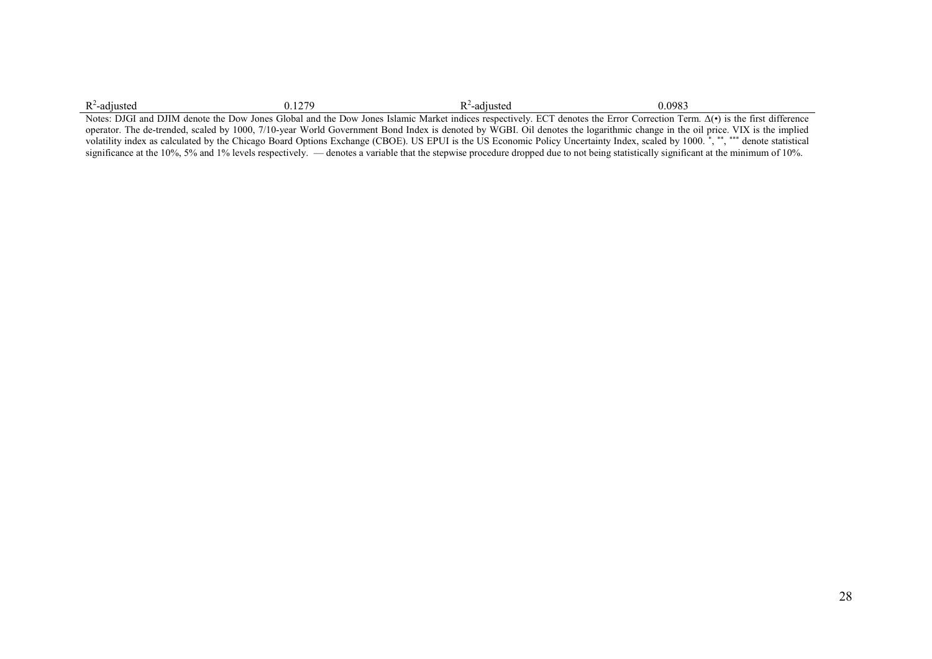| $\mathbb{R}^2$<br>-adjusted |                 | 1000     | ∵∸adiuste⊾ | 0.0987             |
|-----------------------------|-----------------|----------|------------|--------------------|
| . .<br>____                 | .<br>----<br>__ | --<br>-- | ---        | $\cdots$<br>$\sim$ |

Notes: DJGI and DJIM denote the Dow Jones Global and the Dow Jones Islamic Market indices respectively. ECT denotes the Error Correction Term. Δ(•) is the first difference operator. The de-trended, scaled by 1000, 7/10-year World Government Bond Index is denoted by WGBI. Oil denotes the logarithmic change in the oil price. VIX is the implied volatility index as calculated by the Chicago Board Options Exchange (CBOE). US EPUI is the US Economic Policy Uncertainty Index, scaled by 1000. \*, \*\*\*, \*\*\* denote statistical significance at the 10%, 5% and 1% levels respectively. — denotes a variable that the stepwise procedure dropped due to not being statistically significant at the minimum of 10%.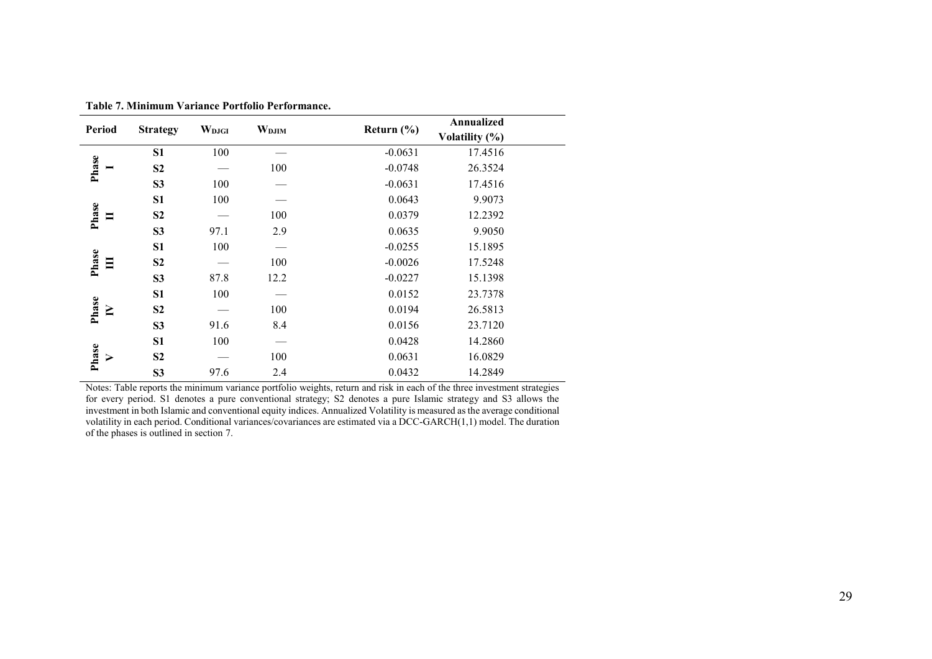| <b>Period</b>             | <b>Strategy</b> | W <sub>DJGI</sub> | WDJIM | Return $(\% )$ | Annualized<br>Volatility (%) |  |
|---------------------------|-----------------|-------------------|-------|----------------|------------------------------|--|
|                           | S1              | 100               |       | $-0.0631$      | 17.4516                      |  |
| Phase                     | S <sub>2</sub>  |                   | 100   | $-0.0748$      | 26.3524                      |  |
|                           | S <sub>3</sub>  | 100               |       | $-0.0631$      | 17.4516                      |  |
|                           | S <sub>1</sub>  | 100               |       | 0.0643         | 9.9073                       |  |
| Phase                     | S <sub>2</sub>  |                   | 100   | 0.0379         | 12.2392                      |  |
|                           | S3              | 97.1              | 2.9   | 0.0635         | 9.9050                       |  |
|                           | S <sub>1</sub>  | 100               |       | $-0.0255$      | 15.1895                      |  |
| Phase<br>目                | S <sub>2</sub>  |                   | 100   | $-0.0026$      | 17.5248                      |  |
|                           | S <sub>3</sub>  | 87.8              | 12.2  | $-0.0227$      | 15.1398                      |  |
|                           | S <sub>1</sub>  | 100               |       | 0.0152         | 23.7378                      |  |
| Phase<br>$\geq$           | S <sub>2</sub>  |                   | 100   | 0.0194         | 26.5813                      |  |
|                           | S <sub>3</sub>  | 91.6              | 8.4   | 0.0156         | 23.7120                      |  |
|                           | S <sub>1</sub>  | 100               |       | 0.0428         | 14.2860                      |  |
| Phase<br>$\triangleright$ | S <sub>2</sub>  |                   | 100   | 0.0631         | 16.0829                      |  |
|                           | S <sub>3</sub>  | 97.6              | 2.4   | 0.0432         | 14.2849                      |  |

**Table 7. Minimum Variance Portfolio Performance.**

Notes: Table reports the minimum variance portfolio weights, return and risk in each of the three investment strategies for every period. S1 denotes a pure conventional strategy; S2 denotes a pure Islamic strategy and S3 allows the investment in both Islamic and conventional equity indices. Annualized Volatility is measured as the average conditional volatility in each period. Conditional variances/covariances are estimated via a DCC-GARCH(1,1) model. The duration of the phases is outlined in section 7.